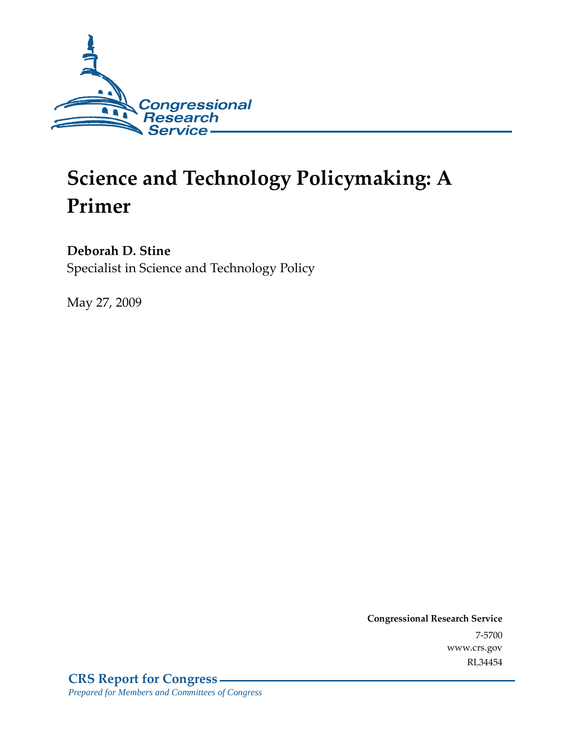

# **Science and Technology Policymaking: A Primer**

## **Deborah D. Stine**

Specialist in Science and Technology Policy

May 27, 2009

**Congressional Research Service** 7-5700 www.crs.gov RL34454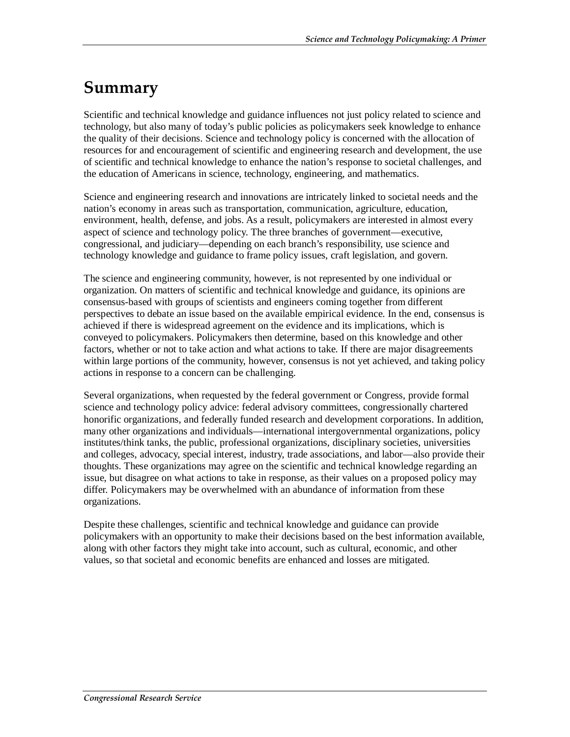# **Summary**

Scientific and technical knowledge and guidance influences not just policy related to science and technology, but also many of today's public policies as policymakers seek knowledge to enhance the quality of their decisions. Science and technology policy is concerned with the allocation of resources for and encouragement of scientific and engineering research and development, the use of scientific and technical knowledge to enhance the nation's response to societal challenges, and the education of Americans in science, technology, engineering, and mathematics.

Science and engineering research and innovations are intricately linked to societal needs and the nation's economy in areas such as transportation, communication, agriculture, education, environment, health, defense, and jobs. As a result, policymakers are interested in almost every aspect of science and technology policy. The three branches of government—executive, congressional, and judiciary—depending on each branch's responsibility, use science and technology knowledge and guidance to frame policy issues, craft legislation, and govern.

The science and engineering community, however, is not represented by one individual or organization. On matters of scientific and technical knowledge and guidance, its opinions are consensus-based with groups of scientists and engineers coming together from different perspectives to debate an issue based on the available empirical evidence. In the end, consensus is achieved if there is widespread agreement on the evidence and its implications, which is conveyed to policymakers. Policymakers then determine, based on this knowledge and other factors, whether or not to take action and what actions to take. If there are major disagreements within large portions of the community, however, consensus is not yet achieved, and taking policy actions in response to a concern can be challenging.

Several organizations, when requested by the federal government or Congress, provide formal science and technology policy advice: federal advisory committees, congressionally chartered honorific organizations, and federally funded research and development corporations. In addition, many other organizations and individuals—international intergovernmental organizations, policy institutes/think tanks, the public, professional organizations, disciplinary societies, universities and colleges, advocacy, special interest, industry, trade associations, and labor—also provide their thoughts. These organizations may agree on the scientific and technical knowledge regarding an issue, but disagree on what actions to take in response, as their values on a proposed policy may differ. Policymakers may be overwhelmed with an abundance of information from these organizations.

Despite these challenges, scientific and technical knowledge and guidance can provide policymakers with an opportunity to make their decisions based on the best information available, along with other factors they might take into account, such as cultural, economic, and other values, so that societal and economic benefits are enhanced and losses are mitigated.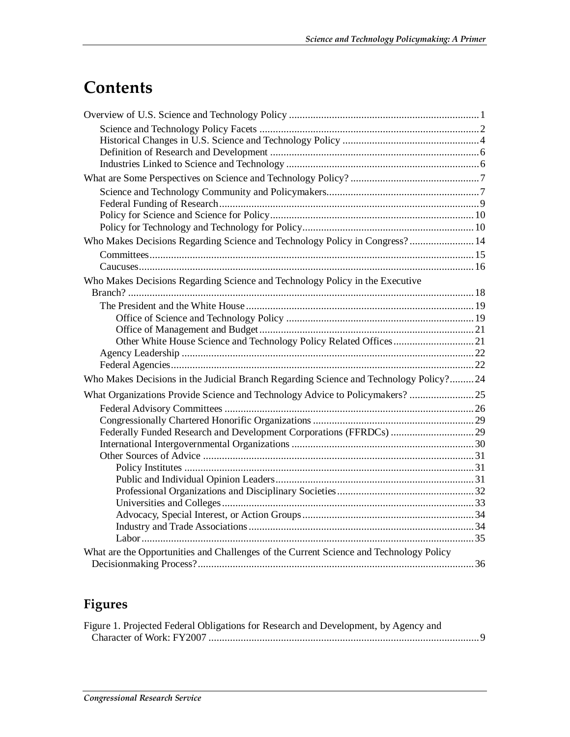# **Contents**

| Who Makes Decisions Regarding Science and Technology Policy in Congress? 14            |  |
|----------------------------------------------------------------------------------------|--|
|                                                                                        |  |
|                                                                                        |  |
| Who Makes Decisions Regarding Science and Technology Policy in the Executive           |  |
|                                                                                        |  |
|                                                                                        |  |
|                                                                                        |  |
|                                                                                        |  |
|                                                                                        |  |
|                                                                                        |  |
|                                                                                        |  |
| Who Makes Decisions in the Judicial Branch Regarding Science and Technology Policy?24  |  |
| What Organizations Provide Science and Technology Advice to Policymakers?  25          |  |
|                                                                                        |  |
|                                                                                        |  |
|                                                                                        |  |
|                                                                                        |  |
|                                                                                        |  |
|                                                                                        |  |
|                                                                                        |  |
|                                                                                        |  |
|                                                                                        |  |
|                                                                                        |  |
|                                                                                        |  |
| What are the Opportunities and Challenges of the Current Science and Technology Policy |  |
|                                                                                        |  |
|                                                                                        |  |

## **Figures**

| Figure 1. Projected Federal Obligations for Research and Development, by Agency and |  |
|-------------------------------------------------------------------------------------|--|
|                                                                                     |  |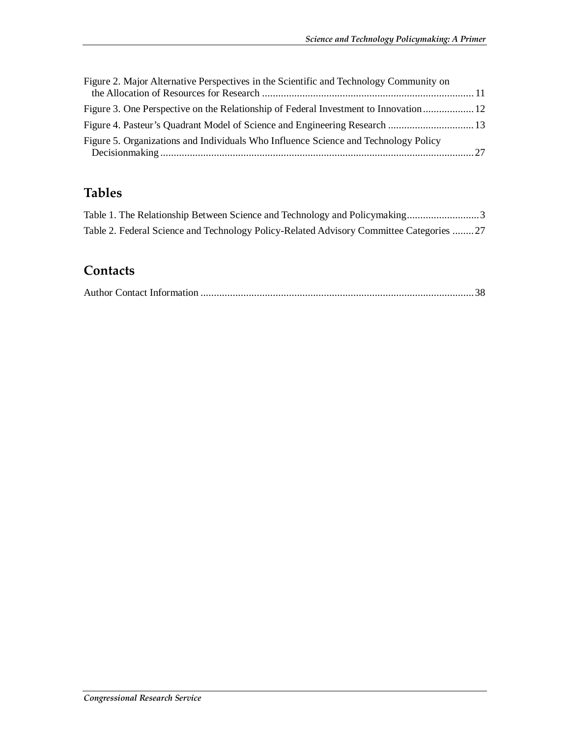| Figure 2. Major Alternative Perspectives in the Scientific and Technology Community on |  |
|----------------------------------------------------------------------------------------|--|
| Figure 3. One Perspective on the Relationship of Federal Investment to Innovation 12   |  |
|                                                                                        |  |
| Figure 5. Organizations and Individuals Who Influence Science and Technology Policy    |  |

## **Tables**

| Table 2. Federal Science and Technology Policy-Related Advisory Committee Categories 27 |  |
|-----------------------------------------------------------------------------------------|--|

#### **Contacts**

|--|--|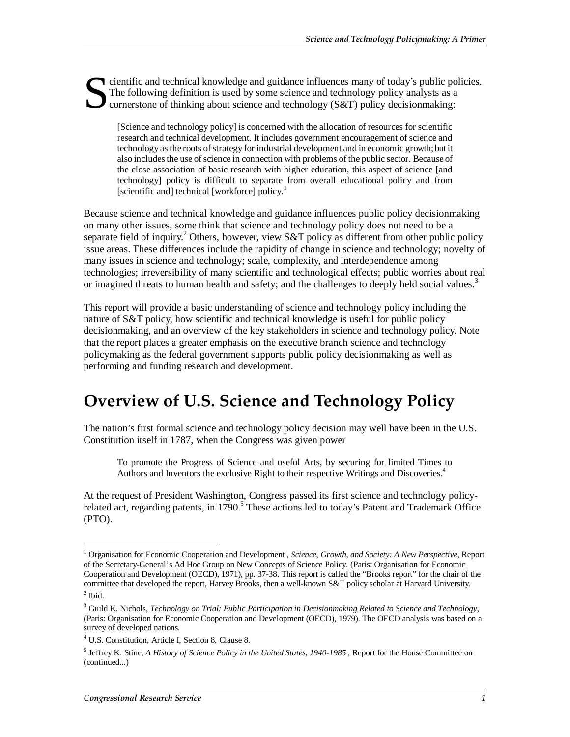cientific and technical knowledge and guidance influences many of today's public policies. The following definition is used by some science and technology policy analysts as a cornerstone of thinking about science and technology (S&T) policy decisionmaking: S

[Science and technology policy] is concerned with the allocation of resources for scientific research and technical development. It includes government encouragement of science and technology as the roots of strategy for industrial development and in economic growth; but it also includes the use of science in connection with problems of the public sector. Because of the close association of basic research with higher education, this aspect of science [and technology] policy is difficult to separate from overall educational policy and from [scientific and] technical [workforce] policy.<sup>1</sup>

Because science and technical knowledge and guidance influences public policy decisionmaking on many other issues, some think that science and technology policy does not need to be a separate field of inquiry.<sup>2</sup> Others, however, view S&T policy as different from other public policy issue areas. These differences include the rapidity of change in science and technology; novelty of many issues in science and technology; scale, complexity, and interdependence among technologies; irreversibility of many scientific and technological effects; public worries about real or imagined threats to human health and safety; and the challenges to deeply held social values.<sup>3</sup>

This report will provide a basic understanding of science and technology policy including the nature of S&T policy, how scientific and technical knowledge is useful for public policy decisionmaking, and an overview of the key stakeholders in science and technology policy. Note that the report places a greater emphasis on the executive branch science and technology policymaking as the federal government supports public policy decisionmaking as well as performing and funding research and development.

## **Overview of U.S. Science and Technology Policy**

The nation's first formal science and technology policy decision may well have been in the U.S. Constitution itself in 1787, when the Congress was given power

To promote the Progress of Science and useful Arts, by securing for limited Times to Authors and Inventors the exclusive Right to their respective Writings and Discoveries.<sup>4</sup>

At the request of President Washington, Congress passed its first science and technology policyrelated act, regarding patents, in 1790.<sup>5</sup> These actions led to today's Patent and Trademark Office (PTO).

<sup>&</sup>lt;sup>1</sup> Organisation for Economic Cooperation and Development *, Science, Growth, and Society: A New Perspective*, Report of the Secretary-General's Ad Hoc Group on New Concepts of Science Policy. (Paris: Organisation for Economic Cooperation and Development (OECD), 1971), pp. 37-38. This report is called the "Brooks report" for the chair of the committee that developed the report, Harvey Brooks, then a well-known S&T policy scholar at Harvard University.

 $<sup>2</sup>$  Ibid.</sup>

<sup>3</sup> Guild K. Nichols, *Technology on Trial: Public Participation in Decisionmaking Related to Science and Technology*, (Paris: Organisation for Economic Cooperation and Development (OECD), 1979). The OECD analysis was based on a survey of developed nations.

<sup>4</sup> U.S. Constitution, Article I, Section 8, Clause 8.

<sup>5</sup> Jeffrey K. Stine, *A History of Science Policy in the United States, 1940-1985* , Report for the House Committee on (continued...)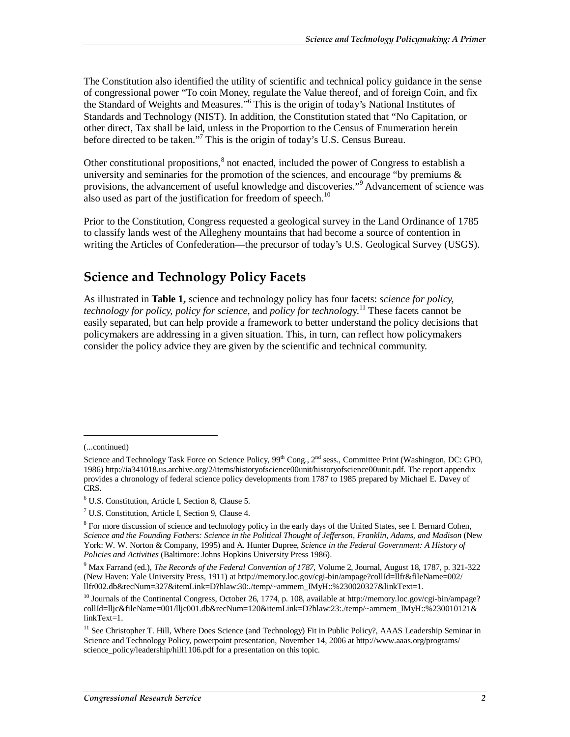The Constitution also identified the utility of scientific and technical policy guidance in the sense of congressional power "To coin Money, regulate the Value thereof, and of foreign Coin, and fix the Standard of Weights and Measures."<sup>6</sup> This is the origin of today's National Institutes of Standards and Technology (NIST). In addition, the Constitution stated that "No Capitation, or other direct, Tax shall be laid, unless in the Proportion to the Census of Enumeration herein before directed to be taken."<sup>7</sup> This is the origin of today's U.S. Census Bureau.

Other constitutional propositions,<sup>8</sup> not enacted, included the power of Congress to establish a university and seminaries for the promotion of the sciences, and encourage "by premiums  $\&$ provisions, the advancement of useful knowledge and discoveries."<sup>9</sup> Advancement of science was also used as part of the justification for freedom of speech.<sup>10</sup>

Prior to the Constitution, Congress requested a geological survey in the Land Ordinance of 1785 to classify lands west of the Allegheny mountains that had become a source of contention in writing the Articles of Confederation—the precursor of today's U.S. Geological Survey (USGS).

### **Science and Technology Policy Facets**

As illustrated in **Table 1,** science and technology policy has four facets: *science for policy, technology for policy, policy for science*, and *policy for technolog*y. 11 These facets cannot be easily separated, but can help provide a framework to better understand the policy decisions that policymakers are addressing in a given situation. This, in turn, can reflect how policymakers consider the policy advice they are given by the scientific and technical community.

<sup>(...</sup>continued)

Science and Technology Task Force on Science Policy,  $99<sup>th</sup>$  Cong.,  $2<sup>nd</sup>$  sess., Committee Print (Washington, DC: GPO, 1986) http://ia341018.us.archive.org/2/items/historyofscience00unit/historyofscience00unit.pdf. The report appendix provides a chronology of federal science policy developments from 1787 to 1985 prepared by Michael E. Davey of CRS.

<sup>6</sup> U.S. Constitution, Article I, Section 8, Clause 5.

<sup>7</sup> U.S. Constitution, Article I, Section 9, Clause 4.

<sup>&</sup>lt;sup>8</sup> For more discussion of science and technology policy in the early days of the United States, see I. Bernard Cohen, *Science and the Founding Fathers: Science in the Political Thought of Jefferson, Franklin, Adams, and Madison* (New York: W. W. Norton & Company, 1995) and A. Hunter Dupree, *Science in the Federal Government: A History of Policies and Activities* (Baltimore: Johns Hopkins University Press 1986).

<sup>9</sup> Max Farrand (ed.), *The Records of the Federal Convention of 1787*, Volume 2, Journal, August 18, 1787, p. 321-322 (New Haven: Yale University Press, 1911) at http://memory.loc.gov/cgi-bin/ampage?collId=llfr&fileName=002/ llfr002.db&recNum=327&itemLink=D?hlaw:30:./temp/~ammem\_IMyH::%230020327&linkText=1.

<sup>&</sup>lt;sup>10</sup> Journals of the Continental Congress, October 26, 1774, p. 108, available at http://memory.loc.gov/cgi-bin/ampage? collId=lljc&fileName=001/lljc001.db&recNum=120&itemLink=D?hlaw:23:./temp/~ammem\_IMyH::%230010121& linkText=1.

<sup>&</sup>lt;sup>11</sup> See Christopher T. Hill, Where Does Science (and Technology) Fit in Public Policy?, AAAS Leadership Seminar in Science and Technology Policy, powerpoint presentation, November 14, 2006 at http://www.aaas.org/programs/ science\_policy/leadership/hill1106.pdf for a presentation on this topic.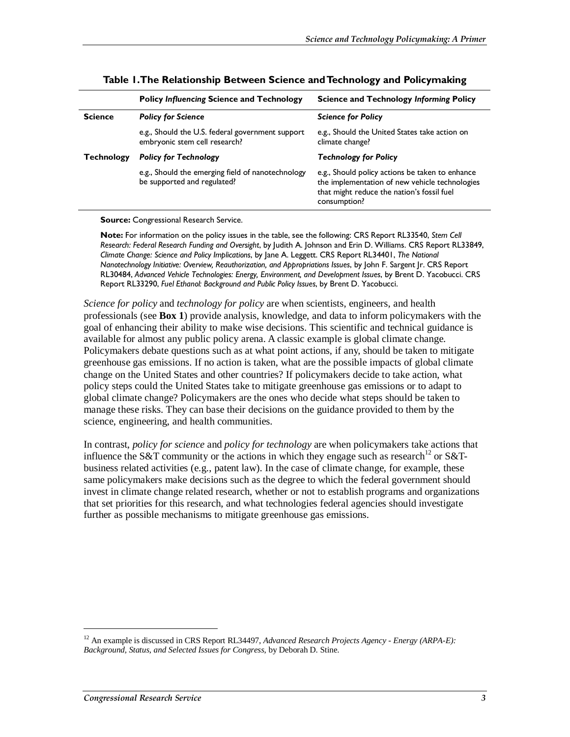|                   | <b>Policy Influencing Science and Technology</b>                                  | <b>Science and Technology Informing Policy</b>                                                                                                                  |
|-------------------|-----------------------------------------------------------------------------------|-----------------------------------------------------------------------------------------------------------------------------------------------------------------|
| <b>Science</b>    | <b>Policy for Science</b>                                                         | <b>Science for Policy</b>                                                                                                                                       |
|                   | e.g., Should the U.S. federal government support<br>embryonic stem cell research? | e.g., Should the United States take action on<br>climate change?                                                                                                |
| <b>Technology</b> | <b>Policy for Technology</b>                                                      | <b>Technology for Policy</b>                                                                                                                                    |
|                   | e.g., Should the emerging field of nanotechnology<br>be supported and regulated?  | e.g., Should policy actions be taken to enhance<br>the implementation of new vehicle technologies<br>that might reduce the nation's fossil fuel<br>consumption? |

#### **Table 1. The Relationship Between Science and Technology and Policymaking**

**Source:** Congressional Research Service.

**Note:** For information on the policy issues in the table, see the following: CRS Report RL33540, *Stem Cell Research: Federal Research Funding and Oversight*, by Judith A. Johnson and Erin D. Williams. CRS Report RL33849, *Climate Change: Science and Policy Implications*, by Jane A. Leggett. CRS Report RL34401, *The National Nanotechnology Initiative: Overview, Reauthorization, and Appropriations Issues*, by John F. Sargent Jr. CRS Report RL30484, *Advanced Vehicle Technologies: Energy, Environment, and Development Issues*, by Brent D. Yacobucci. CRS Report RL33290, *Fuel Ethanol: Background and Public Policy Issues*, by Brent D. Yacobucci.

*Science for policy* and *technology for policy* are when scientists, engineers, and health professionals (see **Box 1**) provide analysis, knowledge, and data to inform policymakers with the goal of enhancing their ability to make wise decisions. This scientific and technical guidance is available for almost any public policy arena. A classic example is global climate change. Policymakers debate questions such as at what point actions, if any, should be taken to mitigate greenhouse gas emissions. If no action is taken, what are the possible impacts of global climate change on the United States and other countries? If policymakers decide to take action, what policy steps could the United States take to mitigate greenhouse gas emissions or to adapt to global climate change? Policymakers are the ones who decide what steps should be taken to manage these risks. They can base their decisions on the guidance provided to them by the science, engineering, and health communities.

In contrast, *policy for science* and *policy for technology* are when policymakers take actions that influence the S&T community or the actions in which they engage such as research<sup>12</sup> or S&Tbusiness related activities (e.g., patent law). In the case of climate change, for example, these same policymakers make decisions such as the degree to which the federal government should invest in climate change related research, whether or not to establish programs and organizations that set priorities for this research, and what technologies federal agencies should investigate further as possible mechanisms to mitigate greenhouse gas emissions.

<sup>12</sup> An example is discussed in CRS Report RL34497, *Advanced Research Projects Agency - Energy (ARPA-E): Background, Status, and Selected Issues for Congress*, by Deborah D. Stine.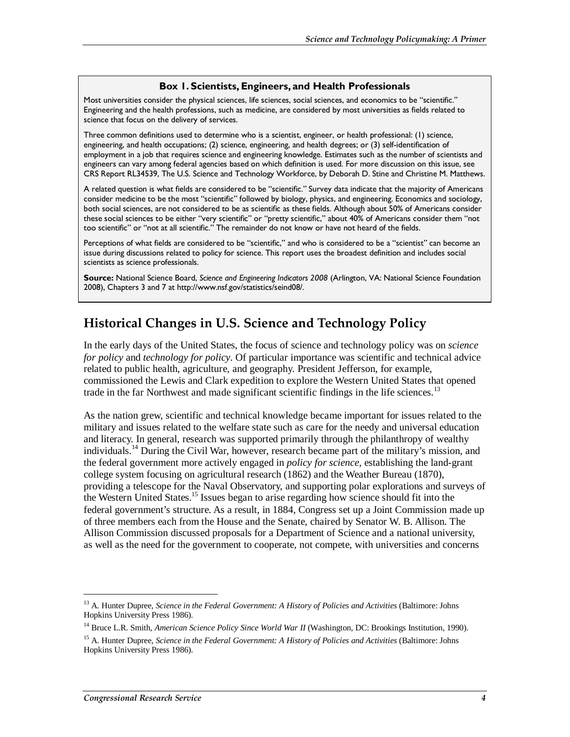#### **Box 1. Scientists, Engineers, and Health Professionals**

Most universities consider the physical sciences, life sciences, social sciences, and economics to be "scientific." Engineering and the health professions, such as medicine, are considered by most universities as fields related to science that focus on the delivery of services.

Three common definitions used to determine who is a scientist, engineer, or health professional: (1) science, engineering, and health occupations; (2) science, engineering, and health degrees; or (3) self-identification of employment in a job that requires science and engineering knowledge. Estimates such as the number of scientists and engineers can vary among federal agencies based on which definition is used. For more discussion on this issue, see CRS Report RL34539, The U.S. Science and Technology Workforce, by Deborah D. Stine and Christine M. Matthews.

A related question is what fields are considered to be "scientific." Survey data indicate that the majority of Americans consider medicine to be the most "scientific" followed by biology, physics, and engineering. Economics and sociology, both social sciences, are not considered to be as scientific as these fields. Although about 50% of Americans consider these social sciences to be either "very scientific" or "pretty scientific," about 40% of Americans consider them "not too scientific" or "not at all scientific." The remainder do not know or have not heard of the fields.

Perceptions of what fields are considered to be "scientific," and who is considered to be a "scientist" can become an issue during discussions related to policy for science. This report uses the broadest definition and includes social scientists as science professionals.

**Source:** National Science Board, *Science and Engineering Indicators 2008* (Arlington, VA: National Science Foundation 2008), Chapters 3 and 7 at http://www.nsf.gov/statistics/seind08/.

#### **Historical Changes in U.S. Science and Technology Policy**

In the early days of the United States, the focus of science and technology policy was on *science for policy* and *technology for policy*. Of particular importance was scientific and technical advice related to public health, agriculture, and geography. President Jefferson, for example, commissioned the Lewis and Clark expedition to explore the Western United States that opened trade in the far Northwest and made significant scientific findings in the life sciences.<sup>13</sup>

As the nation grew, scientific and technical knowledge became important for issues related to the military and issues related to the welfare state such as care for the needy and universal education and literacy. In general, research was supported primarily through the philanthropy of wealthy individuals.<sup>14</sup> During the Civil War, however, research became part of the military's mission, and the federal government more actively engaged in *policy for science*, establishing the land-grant college system focusing on agricultural research (1862) and the Weather Bureau (1870), providing a telescope for the Naval Observatory, and supporting polar explorations and surveys of the Western United States.15 Issues began to arise regarding how science should fit into the federal government's structure. As a result, in 1884, Congress set up a Joint Commission made up of three members each from the House and the Senate, chaired by Senator W. B. Allison. The Allison Commission discussed proposals for a Department of Science and a national university, as well as the need for the government to cooperate, not compete, with universities and concerns

<sup>&</sup>lt;sup>13</sup> A. Hunter Dupree, *Science in the Federal Government: A History of Policies and Activities* (Baltimore: Johns Hopkins University Press 1986).

<sup>&</sup>lt;sup>14</sup> Bruce L.R. Smith, *American Science Policy Since World War II* (Washington, DC: Brookings Institution, 1990).

<sup>15</sup> A. Hunter Dupree, *Science in the Federal Government: A History of Policies and Activities* (Baltimore: Johns Hopkins University Press 1986).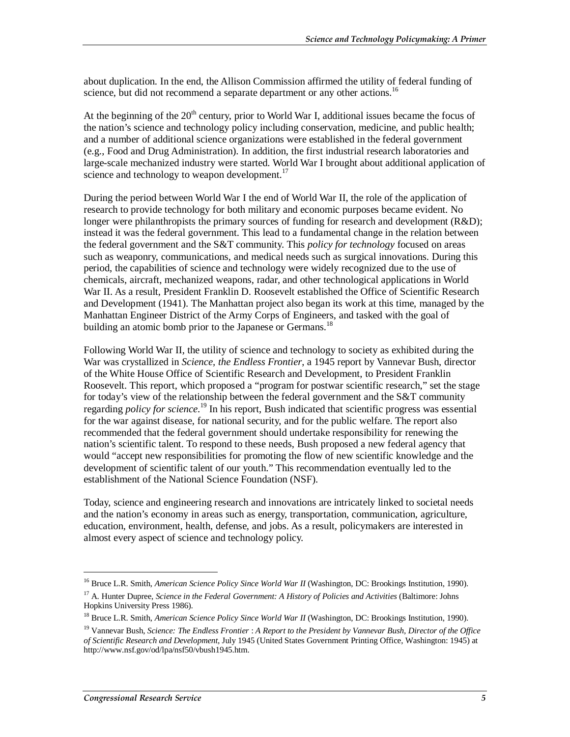about duplication. In the end, the Allison Commission affirmed the utility of federal funding of science, but did not recommend a separate department or any other actions.<sup>16</sup>

At the beginning of the  $20<sup>th</sup>$  century, prior to World War I, additional issues became the focus of the nation's science and technology policy including conservation, medicine, and public health; and a number of additional science organizations were established in the federal government (e.g., Food and Drug Administration). In addition, the first industrial research laboratories and large-scale mechanized industry were started. World War I brought about additional application of science and technology to weapon development.<sup>17</sup>

During the period between World War I the end of World War II, the role of the application of research to provide technology for both military and economic purposes became evident. No longer were philanthropists the primary sources of funding for research and development  $(R&D)$ ; instead it was the federal government. This lead to a fundamental change in the relation between the federal government and the S&T community. This *policy for technology* focused on areas such as weaponry, communications, and medical needs such as surgical innovations. During this period, the capabilities of science and technology were widely recognized due to the use of chemicals, aircraft, mechanized weapons, radar, and other technological applications in World War II. As a result, President Franklin D. Roosevelt established the Office of Scientific Research and Development (1941). The Manhattan project also began its work at this time, managed by the Manhattan Engineer District of the Army Corps of Engineers, and tasked with the goal of building an atomic bomb prior to the Japanese or Germans.<sup>18</sup>

Following World War II, the utility of science and technology to society as exhibited during the War was crystallized in *Science, the Endless Frontier*, a 1945 report by Vannevar Bush, director of the White House Office of Scientific Research and Development, to President Franklin Roosevelt. This report, which proposed a "program for postwar scientific research," set the stage for today's view of the relationship between the federal government and the  $S&T$  community regarding *policy for science*. 19 In his report, Bush indicated that scientific progress was essential for the war against disease, for national security, and for the public welfare. The report also recommended that the federal government should undertake responsibility for renewing the nation's scientific talent. To respond to these needs, Bush proposed a new federal agency that would "accept new responsibilities for promoting the flow of new scientific knowledge and the development of scientific talent of our youth." This recommendation eventually led to the establishment of the National Science Foundation (NSF).

Today, science and engineering research and innovations are intricately linked to societal needs and the nation's economy in areas such as energy, transportation, communication, agriculture, education, environment, health, defense, and jobs. As a result, policymakers are interested in almost every aspect of science and technology policy.

<sup>&</sup>lt;sup>16</sup> Bruce L.R. Smith, *American Science Policy Since World War II* (Washington, DC: Brookings Institution, 1990).

<sup>17</sup> A. Hunter Dupree, *Science in the Federal Government: A History of Policies and Activities* (Baltimore: Johns Hopkins University Press 1986).

<sup>&</sup>lt;sup>18</sup> Bruce L.R. Smith, *American Science Policy Since World War II* (Washington, DC: Brookings Institution, 1990).

<sup>19</sup> Vannevar Bush, *Science: The Endless Frontier* : *A Report to the President by Vannevar Bush, Director of the Office of Scientific Research and Development*, July 1945 (United States Government Printing Office, Washington: 1945) at http://www.nsf.gov/od/lpa/nsf50/vbush1945.htm.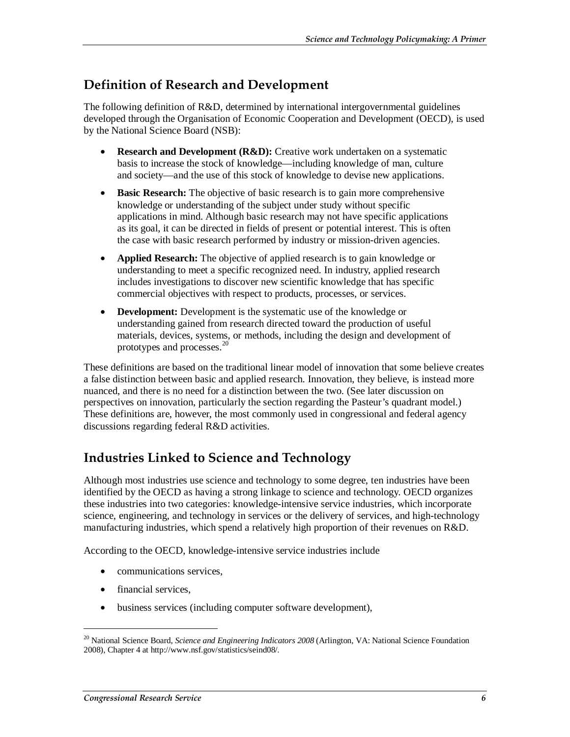### **Definition of Research and Development**

The following definition of R&D, determined by international intergovernmental guidelines developed through the Organisation of Economic Cooperation and Development (OECD), is used by the National Science Board (NSB):

- **Research and Development (R&D):** Creative work undertaken on a systematic basis to increase the stock of knowledge—including knowledge of man, culture and society—and the use of this stock of knowledge to devise new applications.
- **Basic Research:** The objective of basic research is to gain more comprehensive knowledge or understanding of the subject under study without specific applications in mind. Although basic research may not have specific applications as its goal, it can be directed in fields of present or potential interest. This is often the case with basic research performed by industry or mission-driven agencies.
- **Applied Research:** The objective of applied research is to gain knowledge or understanding to meet a specific recognized need. In industry, applied research includes investigations to discover new scientific knowledge that has specific commercial objectives with respect to products, processes, or services.
- **Development:** Development is the systematic use of the knowledge or understanding gained from research directed toward the production of useful materials, devices, systems, or methods, including the design and development of prototypes and processes.<sup>20</sup>

These definitions are based on the traditional linear model of innovation that some believe creates a false distinction between basic and applied research. Innovation, they believe, is instead more nuanced, and there is no need for a distinction between the two. (See later discussion on perspectives on innovation, particularly the section regarding the Pasteur's quadrant model.) These definitions are, however, the most commonly used in congressional and federal agency discussions regarding federal R&D activities.

## **Industries Linked to Science and Technology**

Although most industries use science and technology to some degree, ten industries have been identified by the OECD as having a strong linkage to science and technology. OECD organizes these industries into two categories: knowledge-intensive service industries, which incorporate science, engineering, and technology in services or the delivery of services, and high-technology manufacturing industries, which spend a relatively high proportion of their revenues on R&D.

According to the OECD, knowledge-intensive service industries include

- communications services.
- financial services,

1

• business services (including computer software development),

<sup>20</sup> National Science Board, *Science and Engineering Indicators 2008* (Arlington, VA: National Science Foundation 2008), Chapter 4 at http://www.nsf.gov/statistics/seind08/.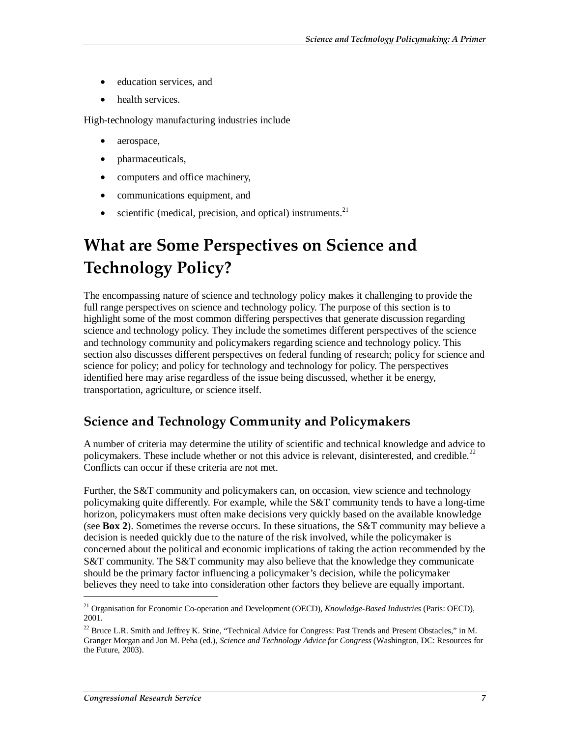- education services, and
- health services.

High-technology manufacturing industries include

- aerospace,
- pharmaceuticals,
- computers and office machinery,
- communications equipment, and
- scientific (medical, precision, and optical) instruments. $^{21}$

# **What are Some Perspectives on Science and Technology Policy?**

The encompassing nature of science and technology policy makes it challenging to provide the full range perspectives on science and technology policy. The purpose of this section is to highlight some of the most common differing perspectives that generate discussion regarding science and technology policy. They include the sometimes different perspectives of the science and technology community and policymakers regarding science and technology policy. This section also discusses different perspectives on federal funding of research; policy for science and science for policy; and policy for technology and technology for policy. The perspectives identified here may arise regardless of the issue being discussed, whether it be energy, transportation, agriculture, or science itself.

## **Science and Technology Community and Policymakers**

A number of criteria may determine the utility of scientific and technical knowledge and advice to policymakers. These include whether or not this advice is relevant, disinterested, and credible.<sup>22</sup> Conflicts can occur if these criteria are not met.

Further, the S&T community and policymakers can, on occasion, view science and technology policymaking quite differently. For example, while the S&T community tends to have a long-time horizon, policymakers must often make decisions very quickly based on the available knowledge (see **Box 2**). Sometimes the reverse occurs. In these situations, the S&T community may believe a decision is needed quickly due to the nature of the risk involved, while the policymaker is concerned about the political and economic implications of taking the action recommended by the S&T community. The S&T community may also believe that the knowledge they communicate should be the primary factor influencing a policymaker's decision, while the policymaker believes they need to take into consideration other factors they believe are equally important.

<sup>21</sup> Organisation for Economic Co-operation and Development (OECD), *Knowledge-Based Industries* (Paris: OECD), 2001.

<sup>&</sup>lt;sup>22</sup> Bruce L.R. Smith and Jeffrey K. Stine, "Technical Advice for Congress: Past Trends and Present Obstacles," in M. Granger Morgan and Jon M. Peha (ed.), *Science and Technology Advice for Congress* (Washington, DC: Resources for the Future, 2003).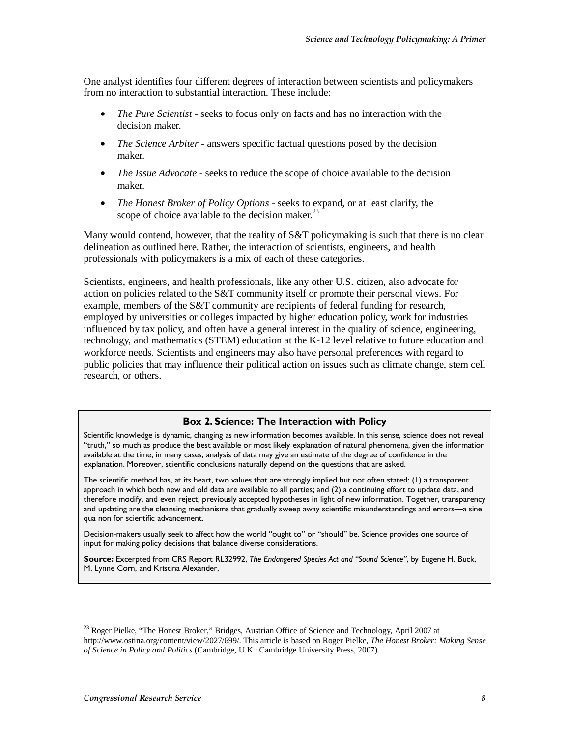One analyst identifies four different degrees of interaction between scientists and policymakers from no interaction to substantial interaction. These include:

- *The Pure Scientist* seeks to focus only on facts and has no interaction with the decision maker.
- *The Science Arbiter* answers specific factual questions posed by the decision maker.
- *The Issue Advocate* seeks to reduce the scope of choice available to the decision maker.
- *The Honest Broker of Policy Options* seeks to expand, or at least clarify, the scope of choice available to the decision maker. $^{23}$

Many would contend, however, that the reality of S&T policymaking is such that there is no clear delineation as outlined here. Rather, the interaction of scientists, engineers, and health professionals with policymakers is a mix of each of these categories.

Scientists, engineers, and health professionals, like any other U.S. citizen, also advocate for action on policies related to the S&T community itself or promote their personal views. For example, members of the S&T community are recipients of federal funding for research, employed by universities or colleges impacted by higher education policy, work for industries influenced by tax policy, and often have a general interest in the quality of science, engineering, technology, and mathematics (STEM) education at the K-12 level relative to future education and workforce needs. Scientists and engineers may also have personal preferences with regard to public policies that may influence their political action on issues such as climate change, stem cell research, or others.

#### **Box 2. Science: The Interaction with Policy**

Scientific knowledge is dynamic, changing as new information becomes available. In this sense, science does not reveal "truth," so much as produce the best available or most likely explanation of natural phenomena, given the information available at the time; in many cases, analysis of data may give an estimate of the degree of confidence in the explanation. Moreover, scientific conclusions naturally depend on the questions that are asked.

The scientific method has, at its heart, two values that are strongly implied but not often stated: (1) a transparent approach in which both new and old data are available to all parties; and (2) a continuing effort to update data, and therefore modify, and even reject, previously accepted hypotheses in light of new information. Together, transparency and updating are the cleansing mechanisms that gradually sweep away scientific misunderstandings and errors—a sine qua non for scientific advancement.

Decision-makers usually seek to affect how the world "ought to" or "should" be. Science provides one source of input for making policy decisions that balance diverse considerations.

**Source:** Excerpted from CRS Report RL32992, *The Endangered Species Act and "Sound Science"*, by Eugene H. Buck, M. Lynne Corn, and Kristina Alexander,

<sup>&</sup>lt;sup>23</sup> Roger Pielke, "The Honest Broker," Bridges, Austrian Office of Science and Technology, April 2007 at http://www.ostina.org/content/view/2027/699/. This article is based on Roger Pielke, *The Honest Broker: Making Sense of Science in Policy and Politics* (Cambridge, U.K.: Cambridge University Press, 2007).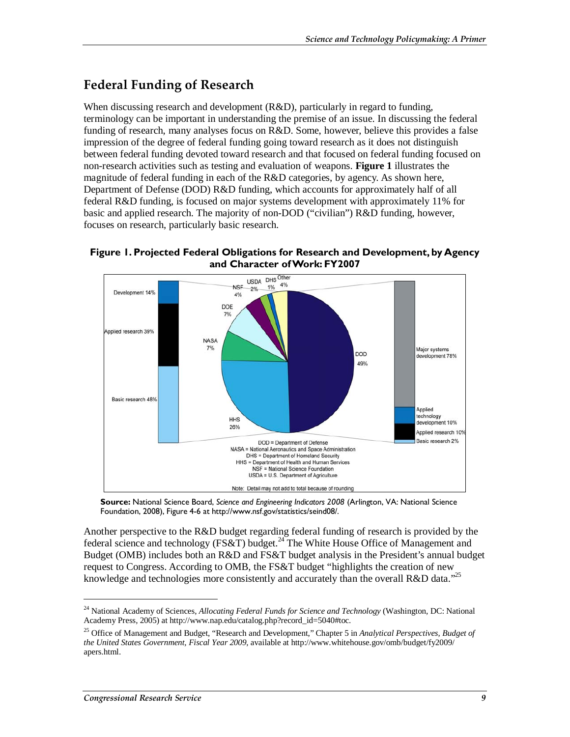## **Federal Funding of Research**

When discussing research and development (R&D), particularly in regard to funding, terminology can be important in understanding the premise of an issue. In discussing the federal funding of research, many analyses focus on R&D. Some, however, believe this provides a false impression of the degree of federal funding going toward research as it does not distinguish between federal funding devoted toward research and that focused on federal funding focused on non-research activities such as testing and evaluation of weapons. **Figure 1** illustrates the magnitude of federal funding in each of the  $R&D$  categories, by agency. As shown here, Department of Defense (DOD) R&D funding, which accounts for approximately half of all federal R&D funding, is focused on major systems development with approximately 11% for basic and applied research. The majority of non-DOD ("civilian") R&D funding, however, focuses on research, particularly basic research.





**Source:** National Science Board, *Science and Engineering Indicators 2008* (Arlington, VA: National Science Foundation, 2008), Figure 4-6 at http://www.nsf.gov/statistics/seind08/.

Another perspective to the R&D budget regarding federal funding of research is provided by the federal science and technology ( $FS&T$ ) budget.<sup>24</sup> The White House Office of Management and Budget (OMB) includes both an R&D and FS&T budget analysis in the President's annual budget request to Congress. According to OMB, the FS&T budget "highlights the creation of new knowledge and technologies more consistently and accurately than the overall R&D data."<sup>25</sup>

<sup>24</sup> National Academy of Sciences, *Allocating Federal Funds for Science and Technology* (Washington, DC: National Academy Press, 2005) at http://www.nap.edu/catalog.php?record\_id=5040#toc.

<sup>25</sup> Office of Management and Budget, "Research and Development," Chapter 5 in *Analytical Perspectives, Budget of the United States Government, Fiscal Year 2009*, available at http://www.whitehouse.gov/omb/budget/fy2009/ apers.html.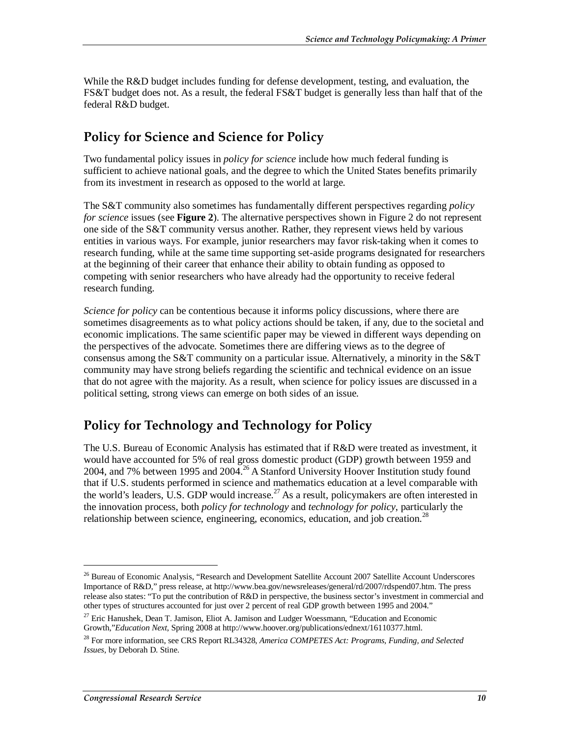While the R&D budget includes funding for defense development, testing, and evaluation, the FS&T budget does not. As a result, the federal FS&T budget is generally less than half that of the federal R&D budget.

### **Policy for Science and Science for Policy**

Two fundamental policy issues in *policy for science* include how much federal funding is sufficient to achieve national goals, and the degree to which the United States benefits primarily from its investment in research as opposed to the world at large.

The S&T community also sometimes has fundamentally different perspectives regarding *policy for science* issues (see **Figure 2**). The alternative perspectives shown in Figure 2 do not represent one side of the S&T community versus another. Rather, they represent views held by various entities in various ways. For example, junior researchers may favor risk-taking when it comes to research funding, while at the same time supporting set-aside programs designated for researchers at the beginning of their career that enhance their ability to obtain funding as opposed to competing with senior researchers who have already had the opportunity to receive federal research funding.

*Science for policy* can be contentious because it informs policy discussions, where there are sometimes disagreements as to what policy actions should be taken, if any, due to the societal and economic implications. The same scientific paper may be viewed in different ways depending on the perspectives of the advocate. Sometimes there are differing views as to the degree of consensus among the S&T community on a particular issue. Alternatively, a minority in the S&T community may have strong beliefs regarding the scientific and technical evidence on an issue that do not agree with the majority. As a result, when science for policy issues are discussed in a political setting, strong views can emerge on both sides of an issue.

## **Policy for Technology and Technology for Policy**

The U.S. Bureau of Economic Analysis has estimated that if R&D were treated as investment, it would have accounted for 5% of real gross domestic product (GDP) growth between 1959 and 2004, and 7% between 1995 and 2004.<sup>26</sup> A Stanford University Hoover Institution study found that if U.S. students performed in science and mathematics education at a level comparable with the world's leaders, U.S. GDP would increase.<sup>27</sup> As a result, policymakers are often interested in the innovation process, both *policy for technology* and *technology for policy*, particularly the relationship between science, engineering, economics, education, and job creation.<sup>28</sup>

<sup>&</sup>lt;sup>26</sup> Bureau of Economic Analysis, "Research and Development Satellite Account 2007 Satellite Account Underscores Importance of R&D," press release, at http://www.bea.gov/newsreleases/general/rd/2007/rdspend07.htm. The press release also states: "To put the contribution of R&D in perspective, the business sector's investment in commercial and other types of structures accounted for just over 2 percent of real GDP growth between 1995 and 2004."

<sup>&</sup>lt;sup>27</sup> Eric Hanushek, Dean T. Jamison, Eliot A. Jamison and Ludger Woessmann, "Education and Economic Growth,"*Education Next*, Spring 2008 at http://www.hoover.org/publications/ednext/16110377.html.

<sup>28</sup> For more information, see CRS Report RL34328, *America COMPETES Act: Programs, Funding, and Selected Issues*, by Deborah D. Stine.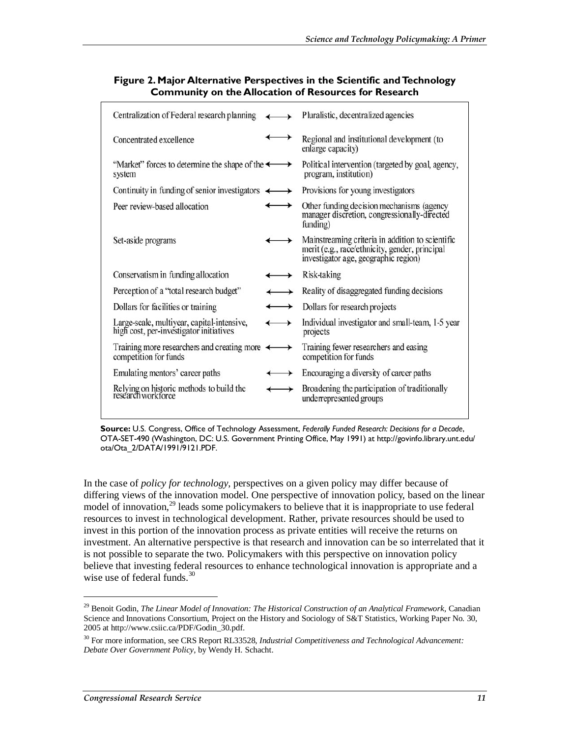| Centralization of Federal research planning                                           | Pluralistic, decentralized agencies                                                                                                        |
|---------------------------------------------------------------------------------------|--------------------------------------------------------------------------------------------------------------------------------------------|
| Concentrated excellence                                                               | Regional and institutional development (to<br>enlarge capacity)                                                                            |
| "Market" forces to determine the shape of the $\longleftrightarrow$<br>system         | Political intervention (targeted by goal, agency,<br>program, institution)                                                                 |
| Continuity in funding of senior investigators $\longleftrightarrow$                   | Provisions for young investigators                                                                                                         |
| Peer review-based allocation<br>$\rightarrow$                                         | Other funding decision mechanisms (agency<br>manager discretion, congressionally-directed<br>funding)                                      |
| Set-aside programs<br>→                                                               | Mainstreaming criteria in addition to scientific<br>merit (e.g., race/ethnicity, gender, principal<br>investigator age, geographic region) |
| Conservatism in funding allocation                                                    | Risk-taking                                                                                                                                |
| Perception of a "total research budget"                                               | Reality of disaggregated funding decisions                                                                                                 |
| Dollars for facilities or training                                                    | Dollars for research projects                                                                                                              |
| Large-scale, multiyear, capital-intensive,<br>high cost, per-investigator initiatives | Individual investigator and small-team, 1-5 year<br>projects                                                                               |
| Training more researchers and creating more $\leftarrow$<br>competition for funds     | Training fewer researchers and easing<br>competition for funds                                                                             |
| Emulating mentors' career paths                                                       | Encouraging a diversity of career paths                                                                                                    |
| Relying on historic methods to build the<br>research workforce                        | Broadening the participation of traditionally<br>underrepresented groups                                                                   |

#### **Figure 2. Major Alternative Perspectives in the Scientific and Technology Community on the Allocation of Resources for Research**

**Source:** U.S. Congress, Office of Technology Assessment, *Federally Funded Research: Decisions for a Decade*, OTA-SET-490 (Washington, DC: U.S. Government Printing Office, May 1991) at http://govinfo.library.unt.edu/ ota/Ota\_2/DATA/1991/9121.PDF.

In the case of *policy for technology*, perspectives on a given policy may differ because of differing views of the innovation model. One perspective of innovation policy, based on the linear model of innovation,<sup>29</sup> leads some policymakers to believe that it is inappropriate to use federal resources to invest in technological development. Rather, private resources should be used to invest in this portion of the innovation process as private entities will receive the returns on investment. An alternative perspective is that research and innovation can be so interrelated that it is not possible to separate the two. Policymakers with this perspective on innovation policy believe that investing federal resources to enhance technological innovation is appropriate and a wise use of federal funds. $30$ 

<sup>29</sup> Benoit Godin, *The Linear Model of Innovation: The Historical Construction of an Analytical Framework*, Canadian Science and Innovations Consortium, Project on the History and Sociology of S&T Statistics, Working Paper No. 30, 2005 at http://www.csiic.ca/PDF/Godin\_30.pdf.

<sup>30</sup> For more information, see CRS Report RL33528, *Industrial Competitiveness and Technological Advancement: Debate Over Government Policy*, by Wendy H. Schacht.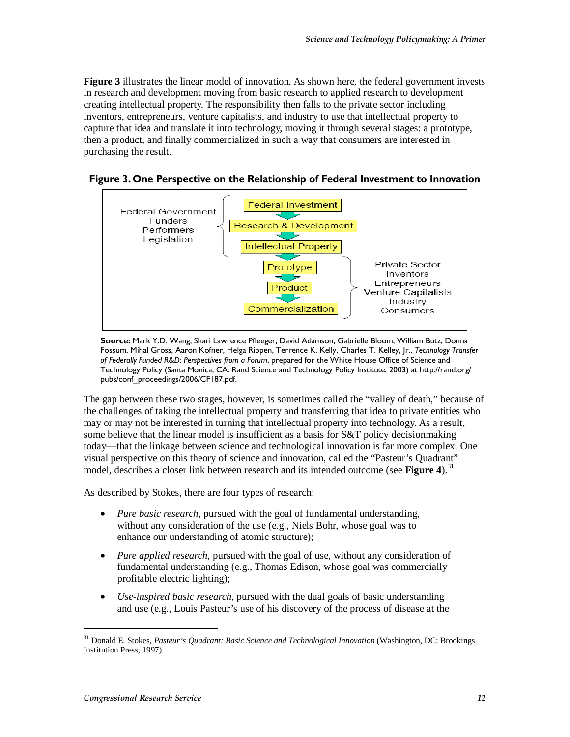**Figure 3** illustrates the linear model of innovation. As shown here, the federal government invests in research and development moving from basic research to applied research to development creating intellectual property. The responsibility then falls to the private sector including inventors, entrepreneurs, venture capitalists, and industry to use that intellectual property to capture that idea and translate it into technology, moving it through several stages: a prototype, then a product, and finally commercialized in such a way that consumers are interested in purchasing the result.





**Source:** Mark Y.D. Wang, Shari Lawrence Pfleeger, David Adamson, Gabrielle Bloom, William Butz, Donna Fossum, Mihal Gross, Aaron Kofner, Helga Rippen, Terrence K. Kelly, Charles T. Kelley, Jr., *Technology Transfer of Federally Funded R&D: Perspectives from a Forum*, prepared for the White House Office of Science and Technology Policy (Santa Monica, CA: Rand Science and Technology Policy Institute, 2003) at http://rand.org/ pubs/conf\_proceedings/2006/CF187.pdf.

The gap between these two stages, however, is sometimes called the "valley of death," because of the challenges of taking the intellectual property and transferring that idea to private entities who may or may not be interested in turning that intellectual property into technology. As a result, some believe that the linear model is insufficient as a basis for S&T policy decisionmaking today—that the linkage between science and technological innovation is far more complex. One visual perspective on this theory of science and innovation, called the "Pasteur's Quadrant" model, describes a closer link between research and its intended outcome (see **Figure 4**).<sup>31</sup>

As described by Stokes, there are four types of research:

- *Pure basic research*, pursued with the goal of fundamental understanding, without any consideration of the use (e.g., Niels Bohr, whose goal was to enhance our understanding of atomic structure);
- *Pure applied research*, pursued with the goal of use, without any consideration of fundamental understanding (e.g., Thomas Edison, whose goal was commercially profitable electric lighting);
- *Use-inspired basic research*, pursued with the dual goals of basic understanding and use (e.g., Louis Pasteur's use of his discovery of the process of disease at the

<sup>31</sup> Donald E. Stokes, *Pasteur's Quadrant: Basic Science and Technological Innovation* (Washington, DC: Brookings Institution Press, 1997).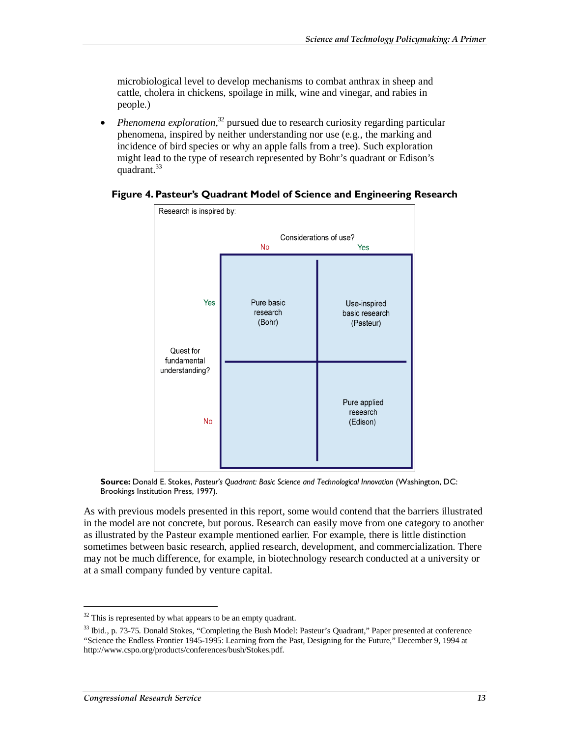microbiological level to develop mechanisms to combat anthrax in sheep and cattle, cholera in chickens, spoilage in milk, wine and vinegar, and rabies in people.)

• *Phenomena exploration*,<sup>32</sup> pursued due to research curiosity regarding particular phenomena, inspired by neither understanding nor use (e.g., the marking and incidence of bird species or why an apple falls from a tree). Such exploration might lead to the type of research represented by Bohr's quadrant or Edison's quadrant.<sup>33</sup>



#### **Figure 4. Pasteur's Quadrant Model of Science and Engineering Research**

**Source:** Donald E. Stokes, *Pasteur's Quadrant: Basic Science and Technological Innovation* (Washington, DC: Brookings Institution Press, 1997).

As with previous models presented in this report, some would contend that the barriers illustrated in the model are not concrete, but porous. Research can easily move from one category to another as illustrated by the Pasteur example mentioned earlier. For example, there is little distinction sometimes between basic research, applied research, development, and commercialization. There may not be much difference, for example, in biotechnology research conducted at a university or at a small company funded by venture capital.

 $32$  This is represented by what appears to be an empty quadrant.

<sup>&</sup>lt;sup>33</sup> Ibid., p. 73-75. Donald Stokes, "Completing the Bush Model: Pasteur's Quadrant," Paper presented at conference "Science the Endless Frontier 1945-1995: Learning from the Past, Designing for the Future," December 9, 1994 at http://www.cspo.org/products/conferences/bush/Stokes.pdf.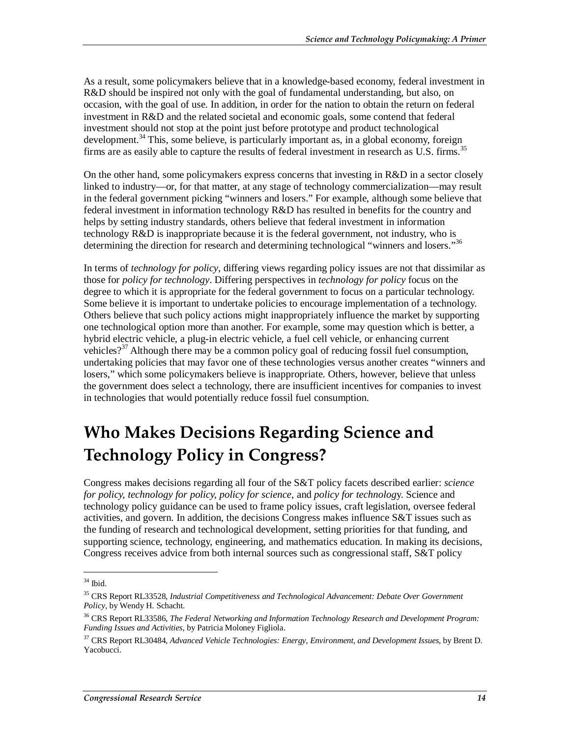As a result, some policymakers believe that in a knowledge-based economy, federal investment in R&D should be inspired not only with the goal of fundamental understanding, but also, on occasion, with the goal of use. In addition, in order for the nation to obtain the return on federal investment in R&D and the related societal and economic goals, some contend that federal investment should not stop at the point just before prototype and product technological development.<sup>34</sup> This, some believe, is particularly important as, in a global economy, foreign firms are as easily able to capture the results of federal investment in research as U.S. firms.<sup>35</sup>

On the other hand, some policymakers express concerns that investing in R&D in a sector closely linked to industry—or, for that matter, at any stage of technology commercialization—may result in the federal government picking "winners and losers." For example, although some believe that federal investment in information technology R&D has resulted in benefits for the country and helps by setting industry standards, others believe that federal investment in information technology R&D is inappropriate because it is the federal government, not industry, who is determining the direction for research and determining technological "winners and losers."<sup>36</sup>

In terms of *technology for policy*, differing views regarding policy issues are not that dissimilar as those for *policy for technology*. Differing perspectives in *technology for policy* focus on the degree to which it is appropriate for the federal government to focus on a particular technology. Some believe it is important to undertake policies to encourage implementation of a technology. Others believe that such policy actions might inappropriately influence the market by supporting one technological option more than another. For example, some may question which is better, a hybrid electric vehicle, a plug-in electric vehicle, a fuel cell vehicle, or enhancing current vehicles?<sup>37</sup> Although there may be a common policy goal of reducing fossil fuel consumption, undertaking policies that may favor one of these technologies versus another creates "winners and losers," which some policymakers believe is inappropriate. Others, however, believe that unless the government does select a technology, there are insufficient incentives for companies to invest in technologies that would potentially reduce fossil fuel consumption.

# **Who Makes Decisions Regarding Science and Technology Policy in Congress?**

Congress makes decisions regarding all four of the S&T policy facets described earlier: *science for policy, technology for policy, policy for science*, and *policy for technolog*y. Science and technology policy guidance can be used to frame policy issues, craft legislation, oversee federal activities, and govern. In addition, the decisions Congress makes influence S&T issues such as the funding of research and technological development, setting priorities for that funding, and supporting science, technology, engineering, and mathematics education. In making its decisions, Congress receives advice from both internal sources such as congressional staff, S&T policy

 $34$  Ibid.

<sup>35</sup> CRS Report RL33528, *Industrial Competitiveness and Technological Advancement: Debate Over Government Policy*, by Wendy H. Schacht.

<sup>36</sup> CRS Report RL33586, *The Federal Networking and Information Technology Research and Development Program: Funding Issues and Activities*, by Patricia Moloney Figliola.

<sup>37</sup> CRS Report RL30484, *Advanced Vehicle Technologies: Energy, Environment, and Development Issues*, by Brent D. Yacobucci.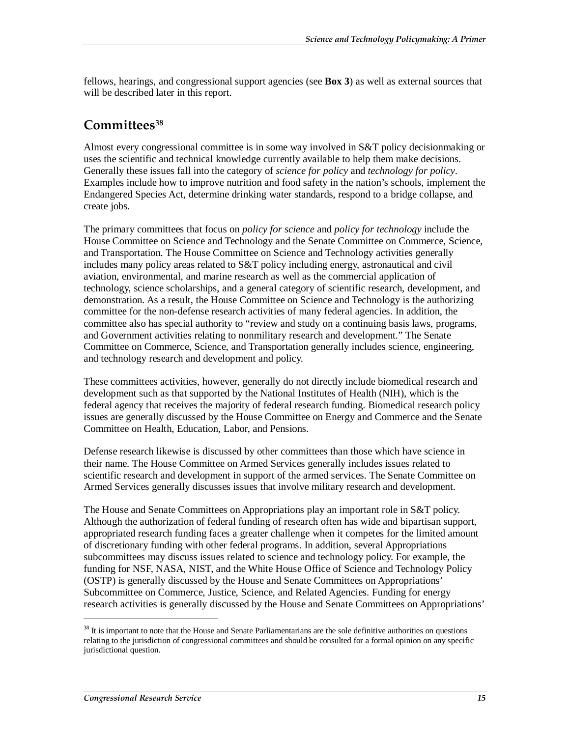fellows, hearings, and congressional support agencies (see **Box 3**) as well as external sources that will be described later in this report.

#### **Committees38**

Almost every congressional committee is in some way involved in S&T policy decisionmaking or uses the scientific and technical knowledge currently available to help them make decisions. Generally these issues fall into the category of *science for policy* and *technology for policy*. Examples include how to improve nutrition and food safety in the nation's schools, implement the Endangered Species Act, determine drinking water standards, respond to a bridge collapse, and create jobs.

The primary committees that focus on *policy for science* and *policy for technology* include the House Committee on Science and Technology and the Senate Committee on Commerce, Science, and Transportation. The House Committee on Science and Technology activities generally includes many policy areas related to S&T policy including energy, astronautical and civil aviation, environmental, and marine research as well as the commercial application of technology, science scholarships, and a general category of scientific research, development, and demonstration. As a result, the House Committee on Science and Technology is the authorizing committee for the non-defense research activities of many federal agencies. In addition, the committee also has special authority to "review and study on a continuing basis laws, programs, and Government activities relating to nonmilitary research and development." The Senate Committee on Commerce, Science, and Transportation generally includes science, engineering, and technology research and development and policy.

These committees activities, however, generally do not directly include biomedical research and development such as that supported by the National Institutes of Health (NIH), which is the federal agency that receives the majority of federal research funding. Biomedical research policy issues are generally discussed by the House Committee on Energy and Commerce and the Senate Committee on Health, Education, Labor, and Pensions.

Defense research likewise is discussed by other committees than those which have science in their name. The House Committee on Armed Services generally includes issues related to scientific research and development in support of the armed services. The Senate Committee on Armed Services generally discusses issues that involve military research and development.

The House and Senate Committees on Appropriations play an important role in S&T policy. Although the authorization of federal funding of research often has wide and bipartisan support, appropriated research funding faces a greater challenge when it competes for the limited amount of discretionary funding with other federal programs. In addition, several Appropriations subcommittees may discuss issues related to science and technology policy. For example, the funding for NSF, NASA, NIST, and the White House Office of Science and Technology Policy (OSTP) is generally discussed by the House and Senate Committees on Appropriations' Subcommittee on Commerce, Justice, Science, and Related Agencies. Funding for energy research activities is generally discussed by the House and Senate Committees on Appropriations'

 $38$  It is important to note that the House and Senate Parliamentarians are the sole definitive authorities on questions relating to the jurisdiction of congressional committees and should be consulted for a formal opinion on any specific jurisdictional question.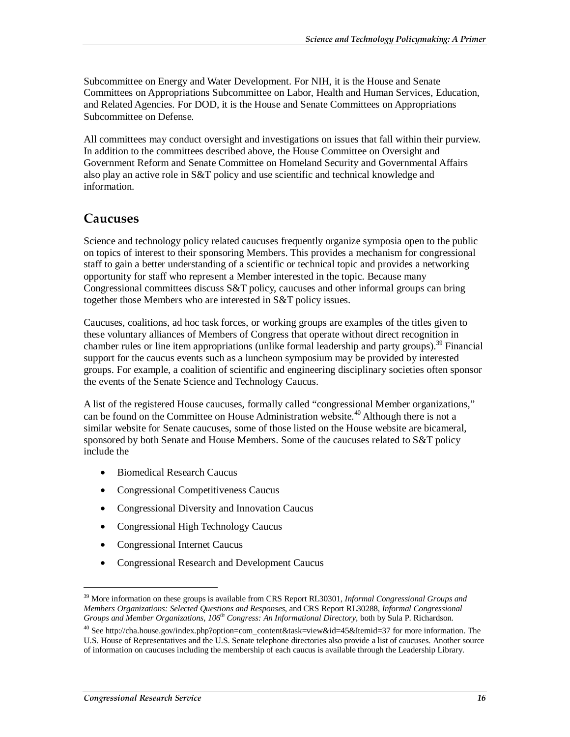Subcommittee on Energy and Water Development. For NIH, it is the House and Senate Committees on Appropriations Subcommittee on Labor, Health and Human Services, Education, and Related Agencies. For DOD, it is the House and Senate Committees on Appropriations Subcommittee on Defense.

All committees may conduct oversight and investigations on issues that fall within their purview. In addition to the committees described above, the House Committee on Oversight and Government Reform and Senate Committee on Homeland Security and Governmental Affairs also play an active role in S&T policy and use scientific and technical knowledge and information.

#### **Caucuses**

Science and technology policy related caucuses frequently organize symposia open to the public on topics of interest to their sponsoring Members. This provides a mechanism for congressional staff to gain a better understanding of a scientific or technical topic and provides a networking opportunity for staff who represent a Member interested in the topic. Because many Congressional committees discuss  $S&T$  policy, caucuses and other informal groups can bring together those Members who are interested in S&T policy issues.

Caucuses, coalitions, ad hoc task forces, or working groups are examples of the titles given to these voluntary alliances of Members of Congress that operate without direct recognition in chamber rules or line item appropriations (unlike formal leadership and party groups).<sup>39</sup> Financial support for the caucus events such as a luncheon symposium may be provided by interested groups. For example, a coalition of scientific and engineering disciplinary societies often sponsor the events of the Senate Science and Technology Caucus.

A list of the registered House caucuses, formally called "congressional Member organizations," can be found on the Committee on House Administration website.<sup>40</sup> Although there is not a similar website for Senate caucuses, some of those listed on the House website are bicameral, sponsored by both Senate and House Members. Some of the caucuses related to S&T policy include the

- Biomedical Research Caucus
- Congressional Competitiveness Caucus
- Congressional Diversity and Innovation Caucus
- Congressional High Technology Caucus
- Congressional Internet Caucus
- Congressional Research and Development Caucus

<sup>39</sup> More information on these groups is available from CRS Report RL30301, *Informal Congressional Groups and Members Organizations: Selected Questions and Responses*, and CRS Report RL30288, *Informal Congressional Groups and Member Organizations, 106th Congress: An Informational Directory*, both by Sula P. Richardson.

<sup>40</sup> See http://cha.house.gov/index.php?option=com\_content&task=view&id=45&Itemid=37 for more information. The U.S. House of Representatives and the U.S. Senate telephone directories also provide a list of caucuses. Another source of information on caucuses including the membership of each caucus is available through the Leadership Library.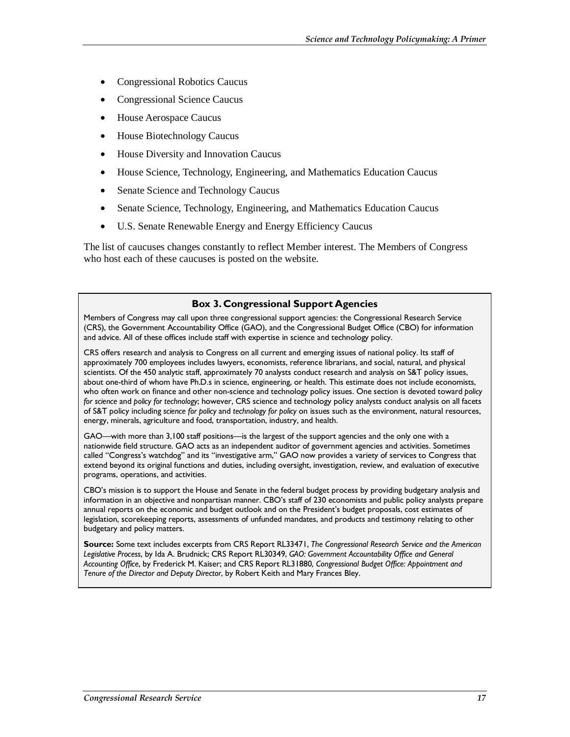- Congressional Robotics Caucus
- Congressional Science Caucus
- House Aerospace Caucus
- House Biotechnology Caucus
- House Diversity and Innovation Caucus
- House Science, Technology, Engineering, and Mathematics Education Caucus
- Senate Science and Technology Caucus
- Senate Science, Technology, Engineering, and Mathematics Education Caucus
- U.S. Senate Renewable Energy and Energy Efficiency Caucus

The list of caucuses changes constantly to reflect Member interest. The Members of Congress who host each of these caucuses is posted on the website.

#### **Box 3. Congressional Support Agencies**

Members of Congress may call upon three congressional support agencies: the Congressional Research Service (CRS), the Government Accountability Office (GAO), and the Congressional Budget Office (CBO) for information and advice. All of these offices include staff with expertise in science and technology policy.

CRS offers research and analysis to Congress on all current and emerging issues of national policy. Its staff of approximately 700 employees includes lawyers, economists, reference librarians, and social, natural, and physical scientists. Of the 450 analytic staff, approximately 70 analysts conduct research and analysis on S&T policy issues, about one-third of whom have Ph.D.s in science, engineering, or health. This estimate does not include economists, who often work on finance and other non-science and technology policy issues. One section is devoted toward *policy for science* and *policy for technology*; however, CRS science and technology policy analysts conduct analysis on all facets of S&T policy including *science for policy* and *technology for policy* on issues such as the environment, natural resources, energy, minerals, agriculture and food, transportation, industry, and health.

GAO—with more than 3,100 staff positions—is the largest of the support agencies and the only one with a nationwide field structure. GAO acts as an independent auditor of government agencies and activities. Sometimes called "Congress's watchdog" and its "investigative arm," GAO now provides a variety of services to Congress that extend beyond its original functions and duties, including oversight, investigation, review, and evaluation of executive programs, operations, and activities.

CBO's mission is to support the House and Senate in the federal budget process by providing budgetary analysis and information in an objective and nonpartisan manner. CBO's staff of 230 economists and public policy analysts prepare annual reports on the economic and budget outlook and on the President's budget proposals, cost estimates of legislation, scorekeeping reports, assessments of unfunded mandates, and products and testimony relating to other budgetary and policy matters.

**Source:** Some text includes excerpts from CRS Report RL33471, *The Congressional Research Service and the American Legislative Process*, by Ida A. Brudnick; CRS Report RL30349, *GAO: Government Accountability Office and General Accounting Office*, by Frederick M. Kaiser; and CRS Report RL31880, *Congressional Budget Office: Appointment and Tenure of the Director and Deputy Director*, by Robert Keith and Mary Frances Bley.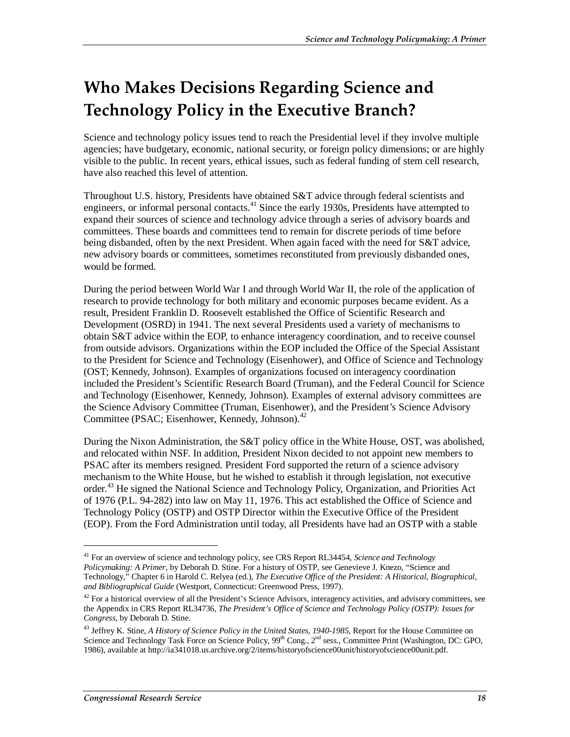# **Who Makes Decisions Regarding Science and Technology Policy in the Executive Branch?**

Science and technology policy issues tend to reach the Presidential level if they involve multiple agencies; have budgetary, economic, national security, or foreign policy dimensions; or are highly visible to the public. In recent years, ethical issues, such as federal funding of stem cell research, have also reached this level of attention.

Throughout U.S. history, Presidents have obtained S&T advice through federal scientists and engineers, or informal personal contacts.<sup>41</sup> Since the early 1930s, Presidents have attempted to expand their sources of science and technology advice through a series of advisory boards and committees. These boards and committees tend to remain for discrete periods of time before being disbanded, often by the next President. When again faced with the need for S&T advice, new advisory boards or committees, sometimes reconstituted from previously disbanded ones, would be formed.

During the period between World War I and through World War II, the role of the application of research to provide technology for both military and economic purposes became evident. As a result, President Franklin D. Roosevelt established the Office of Scientific Research and Development (OSRD) in 1941. The next several Presidents used a variety of mechanisms to obtain S&T advice within the EOP, to enhance interagency coordination, and to receive counsel from outside advisors. Organizations within the EOP included the Office of the Special Assistant to the President for Science and Technology (Eisenhower), and Office of Science and Technology (OST; Kennedy, Johnson). Examples of organizations focused on interagency coordination included the President's Scientific Research Board (Truman), and the Federal Council for Science and Technology (Eisenhower, Kennedy, Johnson). Examples of external advisory committees are the Science Advisory Committee (Truman, Eisenhower), and the President's Science Advisory Committee (PSAC; Eisenhower, Kennedy, Johnson).<sup>42</sup>

During the Nixon Administration, the S&T policy office in the White House, OST, was abolished, and relocated within NSF. In addition, President Nixon decided to not appoint new members to PSAC after its members resigned. President Ford supported the return of a science advisory mechanism to the White House, but he wished to establish it through legislation, not executive order.<sup>43</sup> He signed the National Science and Technology Policy, Organization, and Priorities Act of 1976 (P.L. 94-282) into law on May 11, 1976. This act established the Office of Science and Technology Policy (OSTP) and OSTP Director within the Executive Office of the President (EOP). From the Ford Administration until today, all Presidents have had an OSTP with a stable

<sup>41</sup> For an overview of science and technology policy, see CRS Report RL34454, *Science and Technology Policymaking: A Primer*, by Deborah D. Stine. For a history of OSTP, see Genevieve J. Knezo, "Science and Technology," Chapter 6 in Harold C. Relyea (ed.), *The Executive Office of the President: A Historical, Biographical, and Bibliographical Guide* (Westport, Connecticut: Greenwood Press, 1997).

 $42$  For a historical overview of all the President's Science Advisors, interagency activities, and advisory committees, see the Appendix in CRS Report RL34736, *The President's Office of Science and Technology Policy (OSTP): Issues for Congress*, by Deborah D. Stine.

<sup>&</sup>lt;sup>43</sup> Jeffrey K. Stine, *A History of Science Policy in the United States, 1940-1985*, Report for the House Committee on Science and Technology Task Force on Science Policy, 99<sup>th</sup> Cong., 2<sup>nd</sup> sess., Committee Print (Washington, DC: GPO, 1986), available at http://ia341018.us.archive.org/2/items/historyofscience00unit/historyofscience00unit.pdf.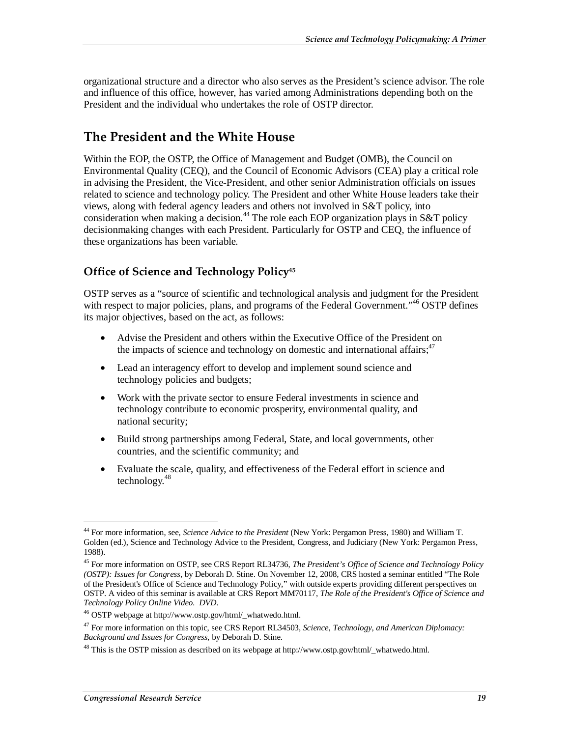organizational structure and a director who also serves as the President's science advisor. The role and influence of this office, however, has varied among Administrations depending both on the President and the individual who undertakes the role of OSTP director.

### **The President and the White House**

Within the EOP, the OSTP, the Office of Management and Budget (OMB), the Council on Environmental Quality (CEQ), and the Council of Economic Advisors (CEA) play a critical role in advising the President, the Vice-President, and other senior Administration officials on issues related to science and technology policy. The President and other White House leaders take their views, along with federal agency leaders and others not involved in S&T policy, into consideration when making a decision.<sup>44</sup> The role each EOP organization plays in S&T policy decisionmaking changes with each President. Particularly for OSTP and CEQ, the influence of these organizations has been variable.

#### **Office of Science and Technology Policy45**

OSTP serves as a "source of scientific and technological analysis and judgment for the President with respect to major policies, plans, and programs of the Federal Government."<sup>46</sup> OSTP defines its major objectives, based on the act, as follows:

- Advise the President and others within the Executive Office of the President on the impacts of science and technology on domestic and international affairs;  $47$
- Lead an interagency effort to develop and implement sound science and technology policies and budgets;
- Work with the private sector to ensure Federal investments in science and technology contribute to economic prosperity, environmental quality, and national security;
- Build strong partnerships among Federal, State, and local governments, other countries, and the scientific community; and
- Evaluate the scale, quality, and effectiveness of the Federal effort in science and technology.<sup>48</sup>

<sup>44</sup> For more information, see, *Science Advice to the President* (New York: Pergamon Press, 1980) and William T. Golden (ed.), Science and Technology Advice to the President, Congress, and Judiciary (New York: Pergamon Press, 1988).

<sup>45</sup> For more information on OSTP, see CRS Report RL34736, *The President's Office of Science and Technology Policy (OSTP): Issues for Congress*, by Deborah D. Stine. On November 12, 2008, CRS hosted a seminar entitled "The Role of the President's Office of Science and Technology Policy," with outside experts providing different perspectives on OSTP. A video of this seminar is available at CRS Report MM70117, *The Role of the President's Office of Science and* 

<sup>&</sup>lt;sup>46</sup> OSTP webpage at http://www.ostp.gov/html/\_whatwedo.html.

<sup>47</sup> For more information on this topic, see CRS Report RL34503, *Science, Technology, and American Diplomacy: Background and Issues for Congress*, by Deborah D. Stine.

<sup>48</sup> This is the OSTP mission as described on its webpage at http://www.ostp.gov/html/\_whatwedo.html.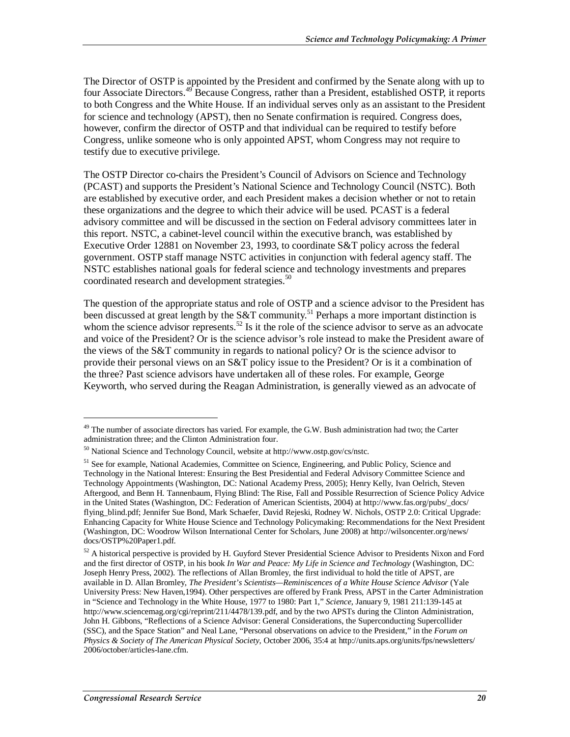The Director of OSTP is appointed by the President and confirmed by the Senate along with up to four Associate Directors.<sup>49</sup> Because Congress, rather than a President, established OSTP, it reports to both Congress and the White House. If an individual serves only as an assistant to the President for science and technology (APST), then no Senate confirmation is required. Congress does, however, confirm the director of OSTP and that individual can be required to testify before Congress, unlike someone who is only appointed APST, whom Congress may not require to testify due to executive privilege.

The OSTP Director co-chairs the President's Council of Advisors on Science and Technology (PCAST) and supports the President's National Science and Technology Council (NSTC). Both are established by executive order, and each President makes a decision whether or not to retain these organizations and the degree to which their advice will be used. PCAST is a federal advisory committee and will be discussed in the section on Federal advisory committees later in this report. NSTC, a cabinet-level council within the executive branch, was established by Executive Order 12881 on November 23, 1993, to coordinate S&T policy across the federal government. OSTP staff manage NSTC activities in conjunction with federal agency staff. The NSTC establishes national goals for federal science and technology investments and prepares coordinated research and development strategies.<sup>50</sup>

The question of the appropriate status and role of OSTP and a science advisor to the President has been discussed at great length by the S&T community.<sup>51</sup> Perhaps a more important distinction is whom the science advisor represents.<sup>52</sup> Is it the role of the science advisor to serve as an advocate and voice of the President? Or is the science advisor's role instead to make the President aware of the views of the S&T community in regards to national policy? Or is the science advisor to provide their personal views on an S&T policy issue to the President? Or is it a combination of the three? Past science advisors have undertaken all of these roles. For example, George Keyworth, who served during the Reagan Administration, is generally viewed as an advocate of

<sup>&</sup>lt;sup>49</sup> The number of associate directors has varied. For example, the G.W. Bush administration had two; the Carter administration three; and the Clinton Administration four.

<sup>50</sup> National Science and Technology Council, website at http://www.ostp.gov/cs/nstc.

<sup>&</sup>lt;sup>51</sup> See for example, National Academies, Committee on Science, Engineering, and Public Policy, Science and Technology in the National Interest: Ensuring the Best Presidential and Federal Advisory Committee Science and Technology Appointments (Washington, DC: National Academy Press, 2005); Henry Kelly, Ivan Oelrich, Steven Aftergood, and Benn H. Tannenbaum, Flying Blind: The Rise, Fall and Possible Resurrection of Science Policy Advice in the United States (Washington, DC: Federation of American Scientists, 2004) at http://www.fas.org/pubs/\_docs/ flying\_blind.pdf; Jennifer Sue Bond, Mark Schaefer, David Rejeski, Rodney W. Nichols, OSTP 2.0: Critical Upgrade: Enhancing Capacity for White House Science and Technology Policymaking: Recommendations for the Next President (Washington, DC: Woodrow Wilson International Center for Scholars, June 2008) at http://wilsoncenter.org/news/ docs/OSTP%20Paper1.pdf.

 $52$  A historical perspective is provided by H. Guyford Stever Presidential Science Advisor to Presidents Nixon and Ford and the first director of OSTP, in his book *In War and Peace: My Life in Science and Technology* (Washington, DC: Joseph Henry Press, 2002). The reflections of Allan Bromley, the first individual to hold the title of APST, are available in D. Allan Bromley, *The President's Scientists—Reminiscences of a White House Science Advisor* (Yale University Press: New Haven,1994). Other perspectives are offered by Frank Press, APST in the Carter Administration in "Science and Technology in the White House, 1977 to 1980: Part 1," *Science*, January 9, 1981 211:139-145 at http://www.sciencemag.org/cgi/reprint/211/4478/139.pdf, and by the two APSTs during the Clinton Administration, John H. Gibbons, "Reflections of a Science Advisor: General Considerations, the Superconducting Supercollider (SSC), and the Space Station" and Neal Lane, "Personal observations on advice to the President," in the *Forum on Physics & Society of The American Physical Society*, October 2006, 35:4 at http://units.aps.org/units/fps/newsletters/ 2006/october/articles-lane.cfm.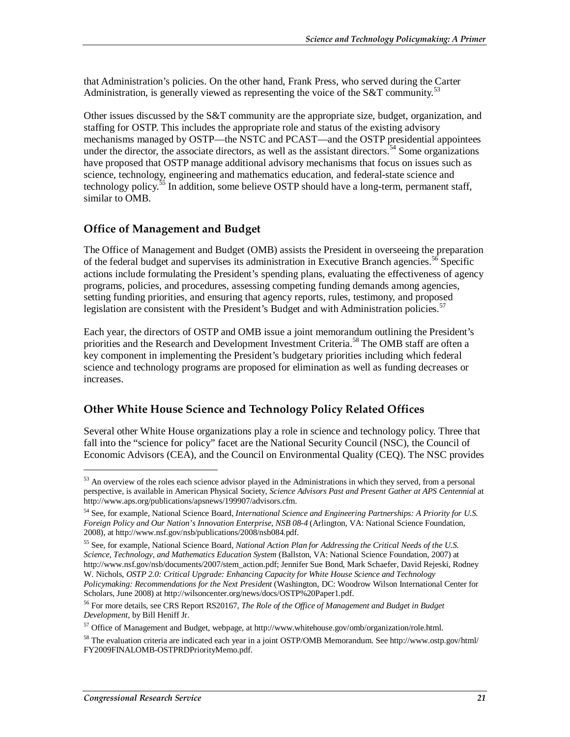that Administration's policies. On the other hand, Frank Press, who served during the Carter Administration, is generally viewed as representing the voice of the  $S\&T$  community.<sup>53</sup>

Other issues discussed by the S&T community are the appropriate size, budget, organization, and staffing for OSTP. This includes the appropriate role and status of the existing advisory mechanisms managed by OSTP—the NSTC and PCAST—and the OSTP presidential appointees under the director, the associate directors, as well as the assistant directors.<sup>54</sup> Some organizations have proposed that OSTP manage additional advisory mechanisms that focus on issues such as science, technology, engineering and mathematics education, and federal-state science and technology policy.<sup>55</sup> In addition, some believe OSTP should have a long-term, permanent staff, similar to OMB.

#### **Office of Management and Budget**

The Office of Management and Budget (OMB) assists the President in overseeing the preparation of the federal budget and supervises its administration in Executive Branch agencies.<sup>56</sup> Specific actions include formulating the President's spending plans, evaluating the effectiveness of agency programs, policies, and procedures, assessing competing funding demands among agencies, setting funding priorities, and ensuring that agency reports, rules, testimony, and proposed legislation are consistent with the President's Budget and with Administration policies.<sup>57</sup>

Each year, the directors of OSTP and OMB issue a joint memorandum outlining the President's priorities and the Research and Development Investment Criteria.<sup>58</sup> The OMB staff are often a key component in implementing the President's budgetary priorities including which federal science and technology programs are proposed for elimination as well as funding decreases or increases.

#### **Other White House Science and Technology Policy Related Offices**

Several other White House organizations play a role in science and technology policy. Three that fall into the "science for policy" facet are the National Security Council (NSC), the Council of Economic Advisors (CEA), and the Council on Environmental Quality (CEQ). The NSC provides

 $53$  An overview of the roles each science advisor played in the Administrations in which they served, from a personal perspective, is available in American Physical Society, *Science Advisors Past and Present Gather at APS Centennial* at http://www.aps.org/publications/apsnews/199907/advisors.cfm.

<sup>54</sup> See, for example, National Science Board, *International Science and Engineering Partnerships: A Priority for U.S. Foreign Policy and Our Nation's Innovation Enterprise, NSB 08-4* (Arlington, VA: National Science Foundation, 2008), at http://www.nsf.gov/nsb/publications/2008/nsb084.pdf.

<sup>55</sup> See, for example, National Science Board, *National Action Plan for Addressing the Critical Needs of the U.S. Science, Technology, and Mathematics Education System* (Ballston, VA: National Science Foundation, 2007) at http://www.nsf.gov/nsb/documents/2007/stem\_action.pdf; Jennifer Sue Bond, Mark Schaefer, David Rejeski, Rodney W. Nichols, *OSTP 2.0: Critical Upgrade: Enhancing Capacity for White House Science and Technology Policymaking: Recommendations for the Next President* (Washington, DC: Woodrow Wilson International Center for Scholars, June 2008) at http://wilsoncenter.org/news/docs/OSTP%20Paper1.pdf.

<sup>56</sup> For more details, see CRS Report RS20167, *The Role of the Office of Management and Budget in Budget Development*, by Bill Heniff Jr.

<sup>&</sup>lt;sup>57</sup> Office of Management and Budget, webpage, at http://www.whitehouse.gov/omb/organization/role.html.

<sup>58</sup> The evaluation criteria are indicated each year in a joint OSTP/OMB Memorandum. See http://www.ostp.gov/html/ FY2009FINALOMB-OSTPRDPriorityMemo.pdf.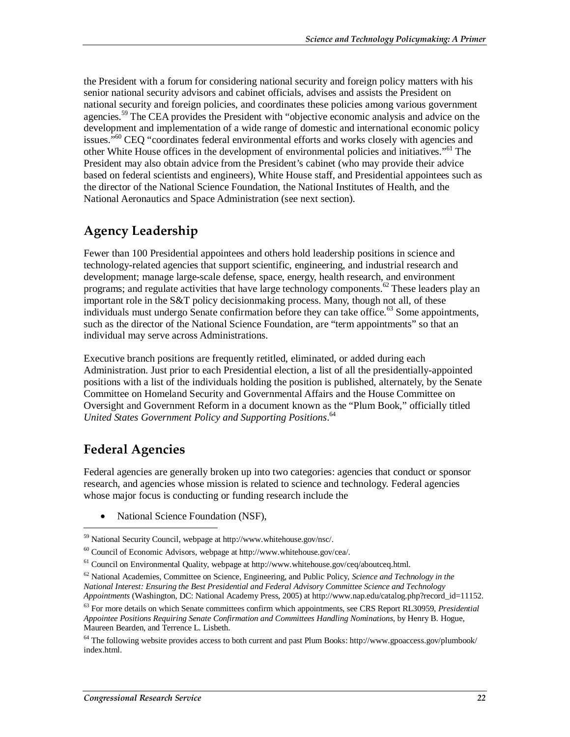the President with a forum for considering national security and foreign policy matters with his senior national security advisors and cabinet officials, advises and assists the President on national security and foreign policies, and coordinates these policies among various government agencies.<sup>59</sup> The CEA provides the President with "objective economic analysis and advice on the development and implementation of a wide range of domestic and international economic policy issues.<sup> $560$ </sup> CEO "coordinates federal environmental efforts and works closely with agencies and other White House offices in the development of environmental policies and initiatives."<sup>61</sup> The President may also obtain advice from the President's cabinet (who may provide their advice based on federal scientists and engineers), White House staff, and Presidential appointees such as the director of the National Science Foundation, the National Institutes of Health, and the National Aeronautics and Space Administration (see next section).

### **Agency Leadership**

Fewer than 100 Presidential appointees and others hold leadership positions in science and technology-related agencies that support scientific, engineering, and industrial research and development; manage large-scale defense, space, energy, health research, and environment programs; and regulate activities that have large technology components.<sup>62</sup> These leaders play an important role in the S&T policy decisionmaking process. Many, though not all, of these individuals must undergo Senate confirmation before they can take office.<sup>63</sup> Some appointments, such as the director of the National Science Foundation, are "term appointments" so that an individual may serve across Administrations.

Executive branch positions are frequently retitled, eliminated, or added during each Administration. Just prior to each Presidential election, a list of all the presidentially-appointed positions with a list of the individuals holding the position is published, alternately, by the Senate Committee on Homeland Security and Governmental Affairs and the House Committee on Oversight and Government Reform in a document known as the "Plum Book," officially titled *United States Government Policy and Supporting Positions*. 64

## **Federal Agencies**

Federal agencies are generally broken up into two categories: agencies that conduct or sponsor research, and agencies whose mission is related to science and technology. Federal agencies whose major focus is conducting or funding research include the

• National Science Foundation (NSF),

<sup>59</sup> National Security Council, webpage at http://www.whitehouse.gov/nsc/.

<sup>&</sup>lt;sup>60</sup> Council of Economic Advisors, webpage at http://www.whitehouse.gov/cea/.<br><sup>61</sup> Council on Environmental Quality, webpage at http://www.whitehouse.gov/ceq/aboutceq.html.

<sup>62</sup> National Academies, Committee on Science, Engineering, and Public Policy, *Science and Technology in the National Interest: Ensuring the Best Presidential and Federal Advisory Committee Science and Technology Appointments* (Washington, DC: National Academy Press, 2005) at http://www.nap.edu/catalog.php?record\_id=11152.

<sup>63</sup> For more details on which Senate committees confirm which appointments, see CRS Report RL30959, *Presidential Appointee Positions Requiring Senate Confirmation and Committees Handling Nominations*, by Henry B. Hogue, Maureen Bearden, and Terrence L. Lisbeth.

<sup>64</sup> The following website provides access to both current and past Plum Books: http://www.gpoaccess.gov/plumbook/ index.html.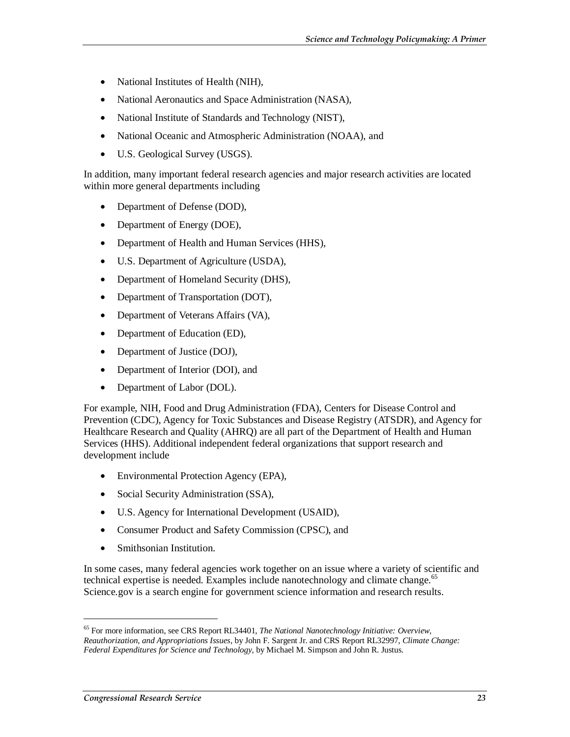- National Institutes of Health (NIH),
- National Aeronautics and Space Administration (NASA),
- National Institute of Standards and Technology (NIST),
- National Oceanic and Atmospheric Administration (NOAA), and
- U.S. Geological Survey (USGS).

In addition, many important federal research agencies and major research activities are located within more general departments including

- Department of Defense (DOD),
- Department of Energy (DOE),
- Department of Health and Human Services (HHS),
- U.S. Department of Agriculture (USDA),
- Department of Homeland Security (DHS),
- Department of Transportation (DOT),
- Department of Veterans Affairs (VA),
- Department of Education (ED),
- Department of Justice (DOJ),
- Department of Interior (DOI), and
- Department of Labor (DOL).

For example, NIH, Food and Drug Administration (FDA), Centers for Disease Control and Prevention (CDC), Agency for Toxic Substances and Disease Registry (ATSDR), and Agency for Healthcare Research and Quality (AHRQ) are all part of the Department of Health and Human Services (HHS). Additional independent federal organizations that support research and development include

- Environmental Protection Agency (EPA),
- Social Security Administration (SSA),
- U.S. Agency for International Development (USAID),
- Consumer Product and Safety Commission (CPSC), and
- Smithsonian Institution.

In some cases, many federal agencies work together on an issue where a variety of scientific and technical expertise is needed. Examples include nanotechnology and climate change. $65$ Science.gov is a search engine for government science information and research results.

<sup>65</sup> For more information, see CRS Report RL34401, *The National Nanotechnology Initiative: Overview, Reauthorization, and Appropriations Issues*, by John F. Sargent Jr. and CRS Report RL32997, *Climate Change: Federal Expenditures for Science and Technology*, by Michael M. Simpson and John R. Justus.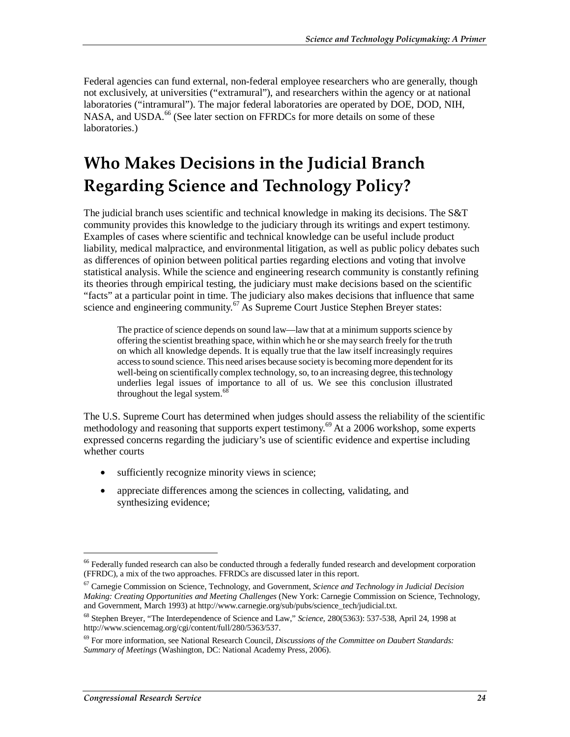Federal agencies can fund external, non-federal employee researchers who are generally, though not exclusively, at universities ("extramural"), and researchers within the agency or at national laboratories ("intramural"). The major federal laboratories are operated by DOE, DOD, NIH, NASA, and USDA. $^{66}$  (See later section on FFRDCs for more details on some of these laboratories.)

# **Who Makes Decisions in the Judicial Branch Regarding Science and Technology Policy?**

The judicial branch uses scientific and technical knowledge in making its decisions. The S&T community provides this knowledge to the judiciary through its writings and expert testimony. Examples of cases where scientific and technical knowledge can be useful include product liability, medical malpractice, and environmental litigation, as well as public policy debates such as differences of opinion between political parties regarding elections and voting that involve statistical analysis. While the science and engineering research community is constantly refining its theories through empirical testing, the judiciary must make decisions based on the scientific "facts" at a particular point in time. The judiciary also makes decisions that influence that same science and engineering community.<sup>67</sup> As Supreme Court Justice Stephen Breyer states:

The practice of science depends on sound law—law that at a minimum supports science by offering the scientist breathing space, within which he or she may search freely for the truth on which all knowledge depends. It is equally true that the law itself increasingly requires access to sound science. This need arises because society is becoming more dependent for its well-being on scientifically complex technology, so, to an increasing degree, this technology underlies legal issues of importance to all of us. We see this conclusion illustrated throughout the legal system.<sup>68</sup>

The U.S. Supreme Court has determined when judges should assess the reliability of the scientific methodology and reasoning that supports expert testimony.<sup>69</sup> At a 2006 workshop, some experts expressed concerns regarding the judiciary's use of scientific evidence and expertise including whether courts

- sufficiently recognize minority views in science;
- appreciate differences among the sciences in collecting, validating, and synthesizing evidence;

<sup>&</sup>lt;sup>66</sup> Federally funded research can also be conducted through a federally funded research and development corporation (FFRDC), a mix of the two approaches. FFRDCs are discussed later in this report.

<sup>67</sup> Carnegie Commission on Science, Technology, and Government, *Science and Technology in Judicial Decision Making: Creating Opportunities and Meeting Challenges* (New York: Carnegie Commission on Science, Technology, and Government, March 1993) at http://www.carnegie.org/sub/pubs/science\_tech/judicial.txt.

<sup>68</sup> Stephen Breyer, "The Interdependence of Science and Law," *Science,* 280(5363): 537-538, April 24, 1998 at http://www.sciencemag.org/cgi/content/full/280/5363/537.

<sup>69</sup> For more information, see National Research Council, *Discussions of the Committee on Daubert Standards: Summary of Meetings* (Washington, DC: National Academy Press, 2006).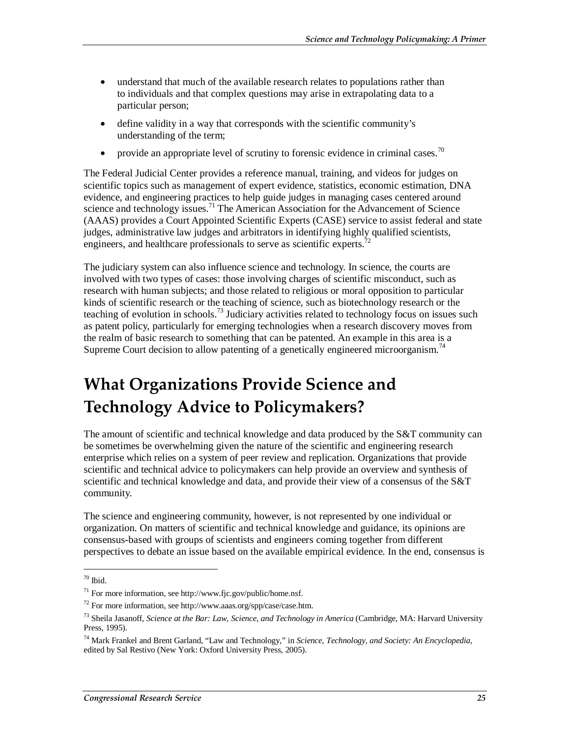- understand that much of the available research relates to populations rather than to individuals and that complex questions may arise in extrapolating data to a particular person;
- define validity in a way that corresponds with the scientific community's understanding of the term;
- provide an appropriate level of scrutiny to forensic evidence in criminal cases.<sup>70</sup>

The Federal Judicial Center provides a reference manual, training, and videos for judges on scientific topics such as management of expert evidence, statistics, economic estimation, DNA evidence, and engineering practices to help guide judges in managing cases centered around science and technology issues.<sup>71</sup> The American Association for the Advancement of Science (AAAS) provides a Court Appointed Scientific Experts (CASE) service to assist federal and state judges, administrative law judges and arbitrators in identifying highly qualified scientists, engineers, and healthcare professionals to serve as scientific experts.<sup>72</sup>

The judiciary system can also influence science and technology. In science, the courts are involved with two types of cases: those involving charges of scientific misconduct, such as research with human subjects; and those related to religious or moral opposition to particular kinds of scientific research or the teaching of science, such as biotechnology research or the teaching of evolution in schools.<sup>73</sup> Judiciary activities related to technology focus on issues such as patent policy, particularly for emerging technologies when a research discovery moves from the realm of basic research to something that can be patented. An example in this area is a Supreme Court decision to allow patenting of a genetically engineered microorganism.<sup>74</sup>

# **What Organizations Provide Science and Technology Advice to Policymakers?**

The amount of scientific and technical knowledge and data produced by the S&T community can be sometimes be overwhelming given the nature of the scientific and engineering research enterprise which relies on a system of peer review and replication. Organizations that provide scientific and technical advice to policymakers can help provide an overview and synthesis of scientific and technical knowledge and data, and provide their view of a consensus of the S&T community.

The science and engineering community, however, is not represented by one individual or organization. On matters of scientific and technical knowledge and guidance, its opinions are consensus-based with groups of scientists and engineers coming together from different perspectives to debate an issue based on the available empirical evidence. In the end, consensus is

 $70$  Ibid.

 $71$  For more information, see http://www.fjc.gov/public/home.nsf.

 $72$  For more information, see http://www.aaas.org/spp/case/case.htm.

<sup>73</sup> Sheila Jasanoff, *Science at the Bar: Law, Science, and Technology in America* (Cambridge, MA: Harvard University Press, 1995).

<sup>74</sup> Mark Frankel and Brent Garland, "Law and Technology," in *Science, Technology, and Society: An Encyclopedia*, edited by Sal Restivo (New York: Oxford University Press, 2005).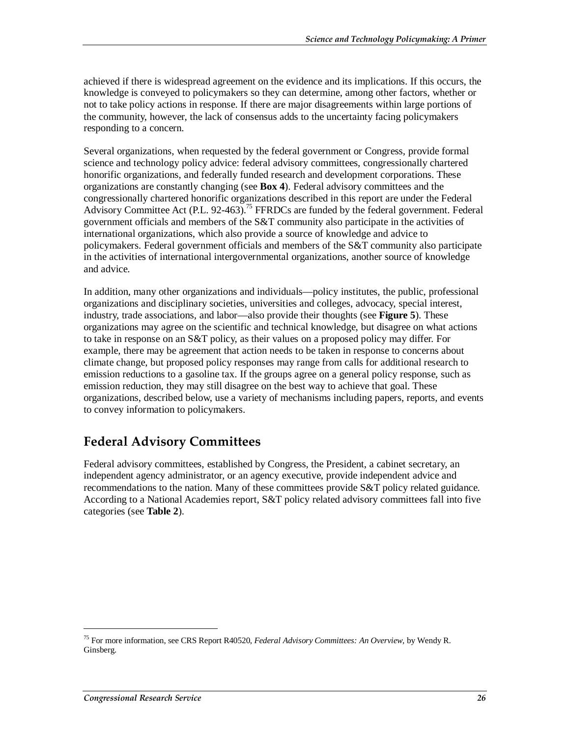achieved if there is widespread agreement on the evidence and its implications. If this occurs, the knowledge is conveyed to policymakers so they can determine, among other factors, whether or not to take policy actions in response. If there are major disagreements within large portions of the community, however, the lack of consensus adds to the uncertainty facing policymakers responding to a concern.

Several organizations, when requested by the federal government or Congress, provide formal science and technology policy advice: federal advisory committees, congressionally chartered honorific organizations, and federally funded research and development corporations. These organizations are constantly changing (see **Box 4**). Federal advisory committees and the congressionally chartered honorific organizations described in this report are under the Federal Advisory Committee Act (P.L. 92-463).<sup>75</sup> FFRDCs are funded by the federal government. Federal government officials and members of the S&T community also participate in the activities of international organizations, which also provide a source of knowledge and advice to policymakers. Federal government officials and members of the S&T community also participate in the activities of international intergovernmental organizations, another source of knowledge and advice.

In addition, many other organizations and individuals—policy institutes, the public, professional organizations and disciplinary societies, universities and colleges, advocacy, special interest, industry, trade associations, and labor—also provide their thoughts (see **Figure 5**). These organizations may agree on the scientific and technical knowledge, but disagree on what actions to take in response on an S&T policy, as their values on a proposed policy may differ. For example, there may be agreement that action needs to be taken in response to concerns about climate change, but proposed policy responses may range from calls for additional research to emission reductions to a gasoline tax. If the groups agree on a general policy response, such as emission reduction, they may still disagree on the best way to achieve that goal. These organizations, described below, use a variety of mechanisms including papers, reports, and events to convey information to policymakers.

## **Federal Advisory Committees**

Federal advisory committees, established by Congress, the President, a cabinet secretary, an independent agency administrator, or an agency executive, provide independent advice and recommendations to the nation. Many of these committees provide S&T policy related guidance. According to a National Academies report, S&T policy related advisory committees fall into five categories (see **Table 2**).

<sup>75</sup> For more information, see CRS Report R40520, *Federal Advisory Committees: An Overview*, by Wendy R. Ginsberg.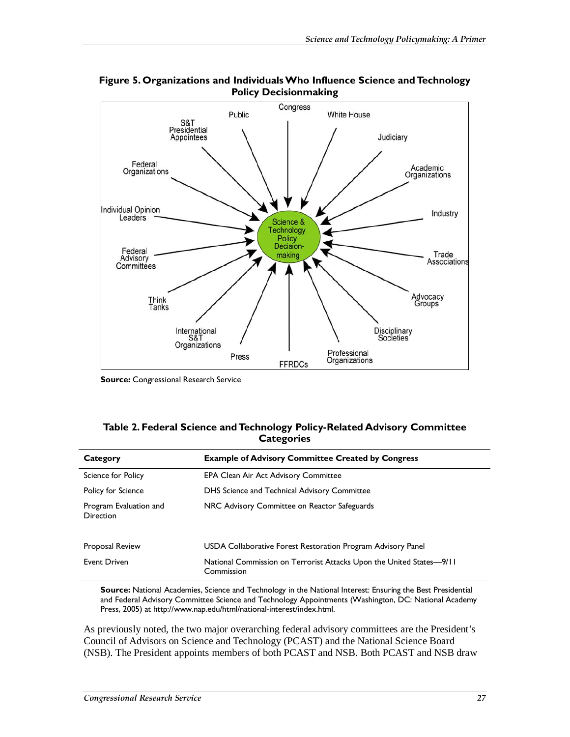

**Figure 5. Organizations and Individuals Who Influence Science and Technology Policy Decisionmaking** 

**Source:** Congressional Research Service

#### **Table 2. Federal Science and Technology Policy-Related Advisory Committee Categories**

| Category                                   | <b>Example of Advisory Committee Created by Congress</b>                           |
|--------------------------------------------|------------------------------------------------------------------------------------|
| Science for Policy                         | <b>EPA Clean Air Act Advisory Committee</b>                                        |
| Policy for Science                         | DHS Science and Technical Advisory Committee                                       |
| Program Evaluation and<br><b>Direction</b> | NRC Advisory Committee on Reactor Safeguards                                       |
| <b>Proposal Review</b>                     | USDA Collaborative Forest Restoration Program Advisory Panel                       |
| Event Driven                               | National Commission on Terrorist Attacks Upon the United States-9/11<br>Commission |

**Source:** National Academies, Science and Technology in the National Interest: Ensuring the Best Presidential and Federal Advisory Committee Science and Technology Appointments (Washington, DC: National Academy Press, 2005) at http://www.nap.edu/html/national-interest/index.html.

As previously noted, the two major overarching federal advisory committees are the President's Council of Advisors on Science and Technology (PCAST) and the National Science Board (NSB). The President appoints members of both PCAST and NSB. Both PCAST and NSB draw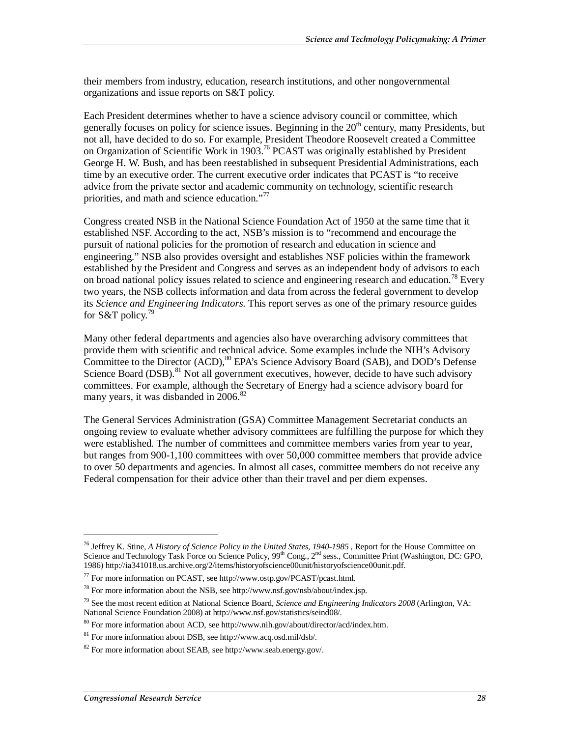their members from industry, education, research institutions, and other nongovernmental organizations and issue reports on S&T policy.

Each President determines whether to have a science advisory council or committee, which generally focuses on policy for science issues. Beginning in the  $20<sup>th</sup>$  century, many Presidents, but not all, have decided to do so. For example, President Theodore Roosevelt created a Committee on Organization of Scientific Work in 1903.<sup>76</sup> PCAST was originally established by President George H. W. Bush, and has been reestablished in subsequent Presidential Administrations, each time by an executive order. The current executive order indicates that PCAST is "to receive advice from the private sector and academic community on technology, scientific research priorities, and math and science education."<sup>77</sup>

Congress created NSB in the National Science Foundation Act of 1950 at the same time that it established NSF. According to the act, NSB's mission is to "recommend and encourage the pursuit of national policies for the promotion of research and education in science and engineering." NSB also provides oversight and establishes NSF policies within the framework established by the President and Congress and serves as an independent body of advisors to each on broad national policy issues related to science and engineering research and education.<sup>78</sup> Every two years, the NSB collects information and data from across the federal government to develop its *Science and Engineering Indicators*. This report serves as one of the primary resource guides for S&T policy.<sup>79</sup>

Many other federal departments and agencies also have overarching advisory committees that provide them with scientific and technical advice. Some examples include the NIH's Advisory Committee to the Director (ACD),  $80$  EPA's Science Advisory Board (SAB), and DOD's Defense Science Board (DSB).<sup>81</sup> Not all government executives, however, decide to have such advisory committees. For example, although the Secretary of Energy had a science advisory board for many years, it was disbanded in 2006.<sup>82</sup>

The General Services Administration (GSA) Committee Management Secretariat conducts an ongoing review to evaluate whether advisory committees are fulfilling the purpose for which they were established. The number of committees and committee members varies from year to year, but ranges from 900-1,100 committees with over 50,000 committee members that provide advice to over 50 departments and agencies. In almost all cases, committee members do not receive any Federal compensation for their advice other than their travel and per diem expenses.

<sup>&</sup>lt;sup>76</sup> Jeffrey K. Stine, *A History of Science Policy in the United States, 1940-1985*, Report for the House Committee on Science and Technology Task Force on Science Policy, 99<sup>th</sup> Cong., 2<sup>nd</sup> sess., Committee Print (Washington, DC: GPO, 1986) http://ia341018.us.archive.org/2/items/historyofscience00unit/historyofscience00unit.pdf.

 $^{77}$  For more information on PCAST, see http://www.ostp.gov/PCAST/pcast.html.

<sup>78</sup> For more information about the NSB, see http://www.nsf.gov/nsb/about/index.jsp.

<sup>79</sup> See the most recent edition at National Science Board, *Science and Engineering Indicators 2008* (Arlington, VA: National Science Foundation 2008) at http://www.nsf.gov/statistics/seind08/.

<sup>80</sup> For more information about ACD, see http://www.nih.gov/about/director/acd/index.htm.

<sup>81</sup> For more information about DSB, see http://www.acq.osd.mil/dsb/.

 $82$  For more information about SEAB, see http://www.seab.energy.gov/.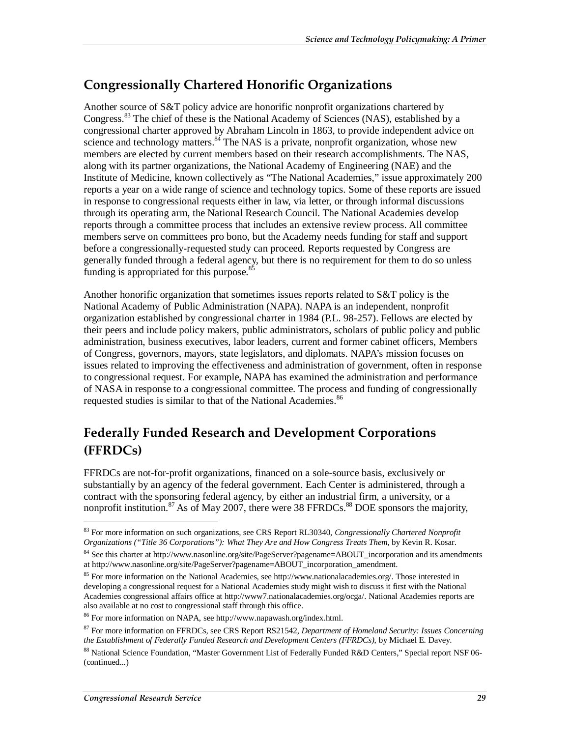### **Congressionally Chartered Honorific Organizations**

Another source of S&T policy advice are honorific nonprofit organizations chartered by Congress.<sup>83</sup> The chief of these is the National Academy of Sciences (NAS), established by a congressional charter approved by Abraham Lincoln in 1863, to provide independent advice on science and technology matters.<sup>84</sup> The NAS is a private, nonprofit organization, whose new members are elected by current members based on their research accomplishments. The NAS, along with its partner organizations, the National Academy of Engineering (NAE) and the Institute of Medicine, known collectively as "The National Academies," issue approximately 200 reports a year on a wide range of science and technology topics. Some of these reports are issued in response to congressional requests either in law, via letter, or through informal discussions through its operating arm, the National Research Council. The National Academies develop reports through a committee process that includes an extensive review process. All committee members serve on committees pro bono, but the Academy needs funding for staff and support before a congressionally-requested study can proceed. Reports requested by Congress are generally funded through a federal agency, but there is no requirement for them to do so unless funding is appropriated for this purpose.<sup>85</sup>

Another honorific organization that sometimes issues reports related to S&T policy is the National Academy of Public Administration (NAPA). NAPA is an independent, nonprofit organization established by congressional charter in 1984 (P.L. 98-257). Fellows are elected by their peers and include policy makers, public administrators, scholars of public policy and public administration, business executives, labor leaders, current and former cabinet officers, Members of Congress, governors, mayors, state legislators, and diplomats. NAPA's mission focuses on issues related to improving the effectiveness and administration of government, often in response to congressional request. For example, NAPA has examined the administration and performance of NASA in response to a congressional committee. The process and funding of congressionally requested studies is similar to that of the National Academies.<sup>86</sup>

## **Federally Funded Research and Development Corporations (FFRDCs)**

FFRDCs are not-for-profit organizations, financed on a sole-source basis, exclusively or substantially by an agency of the federal government. Each Center is administered, through a contract with the sponsoring federal agency, by either an industrial firm, a university, or a nonprofit institution.<sup>87</sup> As of May 2007, there were 38 FFRDCs.<sup>88</sup> DOE sponsors the majority,

<sup>83</sup> For more information on such organizations, see CRS Report RL30340, *Congressionally Chartered Nonprofit Organizations ("Title 36 Corporations"): What They Are and How Congress Treats Them*, by Kevin R. Kosar.

<sup>&</sup>lt;sup>84</sup> See this charter at http://www.nasonline.org/site/PageServer?pagename=ABOUT\_incorporation and its amendments at http://www.nasonline.org/site/PageServer?pagename=ABOUT\_incorporation\_amendment.

<sup>&</sup>lt;sup>85</sup> For more information on the National Academies, see http://www.nationalacademies.org/. Those interested in developing a congressional request for a National Academies study might wish to discuss it first with the National Academies congressional affairs office at http://www7.nationalacademies.org/ocga/. National Academies reports are also available at no cost to congressional staff through this office.

<sup>86</sup> For more information on NAPA, see http://www.napawash.org/index.html.

<sup>87</sup> For more information on FFRDCs, see CRS Report RS21542, *Department of Homeland Security: Issues Concerning the Establishment of Federally Funded Research and Development Centers (FFRDCs)*, by Michael E. Davey.

<sup>88</sup> National Science Foundation, "Master Government List of Federally Funded R&D Centers," Special report NSF 06- (continued...)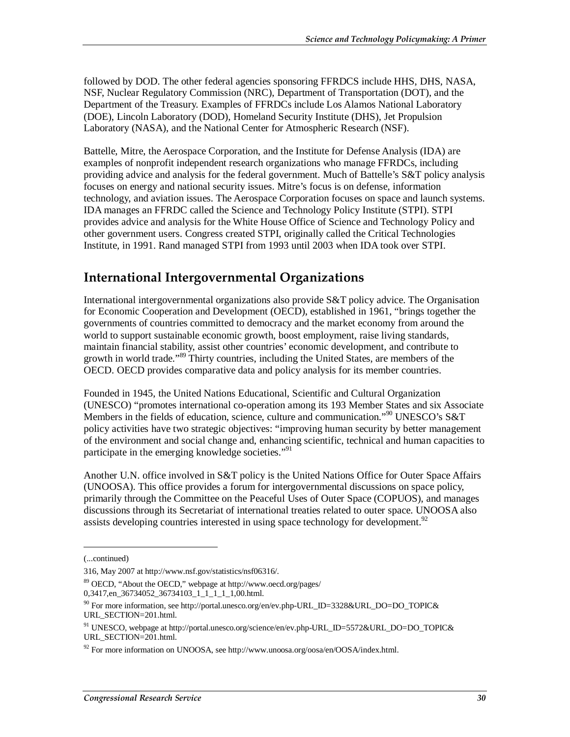followed by DOD. The other federal agencies sponsoring FFRDCS include HHS, DHS, NASA, NSF, Nuclear Regulatory Commission (NRC), Department of Transportation (DOT), and the Department of the Treasury. Examples of FFRDCs include Los Alamos National Laboratory (DOE), Lincoln Laboratory (DOD), Homeland Security Institute (DHS), Jet Propulsion Laboratory (NASA), and the National Center for Atmospheric Research (NSF).

Battelle, Mitre, the Aerospace Corporation, and the Institute for Defense Analysis (IDA) are examples of nonprofit independent research organizations who manage FFRDCs, including providing advice and analysis for the federal government. Much of Battelle's S&T policy analysis focuses on energy and national security issues. Mitre's focus is on defense, information technology, and aviation issues. The Aerospace Corporation focuses on space and launch systems. IDA manages an FFRDC called the Science and Technology Policy Institute (STPI). STPI provides advice and analysis for the White House Office of Science and Technology Policy and other government users. Congress created STPI, originally called the Critical Technologies Institute, in 1991. Rand managed STPI from 1993 until 2003 when IDA took over STPI.

## **International Intergovernmental Organizations**

International intergovernmental organizations also provide S&T policy advice. The Organisation for Economic Cooperation and Development (OECD), established in 1961, "brings together the governments of countries committed to democracy and the market economy from around the world to support sustainable economic growth, boost employment, raise living standards, maintain financial stability, assist other countries' economic development, and contribute to growth in world trade."<sup>89</sup> Thirty countries, including the United States, are members of the OECD. OECD provides comparative data and policy analysis for its member countries.

Founded in 1945, the United Nations Educational, Scientific and Cultural Organization (UNESCO) "promotes international co-operation among its 193 Member States and six Associate Members in the fields of education, science, culture and communication."<sup>90</sup> UNESCO's S&T policy activities have two strategic objectives: "improving human security by better management of the environment and social change and, enhancing scientific, technical and human capacities to participate in the emerging knowledge societies."<sup>91</sup>

Another U.N. office involved in S&T policy is the United Nations Office for Outer Space Affairs (UNOOSA). This office provides a forum for intergovernmental discussions on space policy, primarily through the Committee on the Peaceful Uses of Outer Space (COPUOS), and manages discussions through its Secretariat of international treaties related to outer space. UNOOSA also assists developing countries interested in using space technology for development.<sup>92</sup>

<sup>(...</sup>continued)

<sup>316,</sup> May 2007 at http://www.nsf.gov/statistics/nsf06316/.

<sup>89</sup> OECD, "About the OECD," webpage at http://www.oecd.org/pages/  $0,3417,$ en\_36734052\_36734103\_1\_1\_1\_1\_1,00.html.

<sup>&</sup>lt;sup>90</sup> For more information, see http://portal.unesco.org/en/ev.php-URL\_ID=3328&URL\_DO=DO\_TOPIC& URL\_SECTION=201.html.

<sup>91</sup> UNESCO, webpage at http://portal.unesco.org/science/en/ev.php-URL\_ID=5572&URL\_DO=DO\_TOPIC& URL\_SECTION=201.html.

 $92$  For more information on UNOOSA, see http://www.unoosa.org/oosa/en/OOSA/index.html.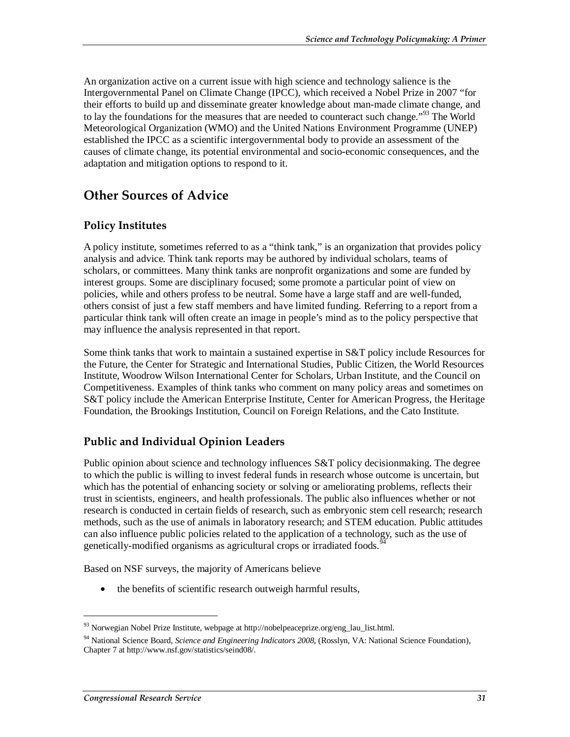An organization active on a current issue with high science and technology salience is the Intergovernmental Panel on Climate Change (IPCC), which received a Nobel Prize in 2007 "for their efforts to build up and disseminate greater knowledge about man-made climate change, and to lay the foundations for the measures that are needed to counteract such change."<sup>93</sup> The World Meteorological Organization (WMO) and the United Nations Environment Programme (UNEP) established the IPCC as a scientific intergovernmental body to provide an assessment of the causes of climate change, its potential environmental and socio-economic consequences, and the adaptation and mitigation options to respond to it.

### **Other Sources of Advice**

#### **Policy Institutes**

A policy institute, sometimes referred to as a "think tank," is an organization that provides policy analysis and advice. Think tank reports may be authored by individual scholars, teams of scholars, or committees. Many think tanks are nonprofit organizations and some are funded by interest groups. Some are disciplinary focused; some promote a particular point of view on policies, while and others profess to be neutral. Some have a large staff and are well-funded, others consist of just a few staff members and have limited funding. Referring to a report from a particular think tank will often create an image in people's mind as to the policy perspective that may influence the analysis represented in that report.

Some think tanks that work to maintain a sustained expertise in S&T policy include Resources for the Future, the Center for Strategic and International Studies, Public Citizen, the World Resources Institute, Woodrow Wilson International Center for Scholars, Urban Institute, and the Council on Competitiveness. Examples of think tanks who comment on many policy areas and sometimes on S&T policy include the American Enterprise Institute, Center for American Progress, the Heritage Foundation, the Brookings Institution, Council on Foreign Relations, and the Cato Institute.

#### **Public and Individual Opinion Leaders**

Public opinion about science and technology influences S&T policy decisionmaking. The degree to which the public is willing to invest federal funds in research whose outcome is uncertain, but which has the potential of enhancing society or solving or ameliorating problems, reflects their trust in scientists, engineers, and health professionals. The public also influences whether or not research is conducted in certain fields of research, such as embryonic stem cell research; research methods, such as the use of animals in laboratory research; and STEM education. Public attitudes can also influence public policies related to the application of a technology, such as the use of genetically-modified organisms as agricultural crops or irradiated foods.<sup>9</sup>

Based on NSF surveys, the majority of Americans believe

• the benefits of scientific research outweigh harmful results,

<sup>93</sup> Norwegian Nobel Prize Institute, webpage at http://nobelpeaceprize.org/eng\_lau\_list.html.

<sup>94</sup> National Science Board, *Science and Engineering Indicators 2008,* (Rosslyn, VA: National Science Foundation), Chapter 7 at http://www.nsf.gov/statistics/seind08/.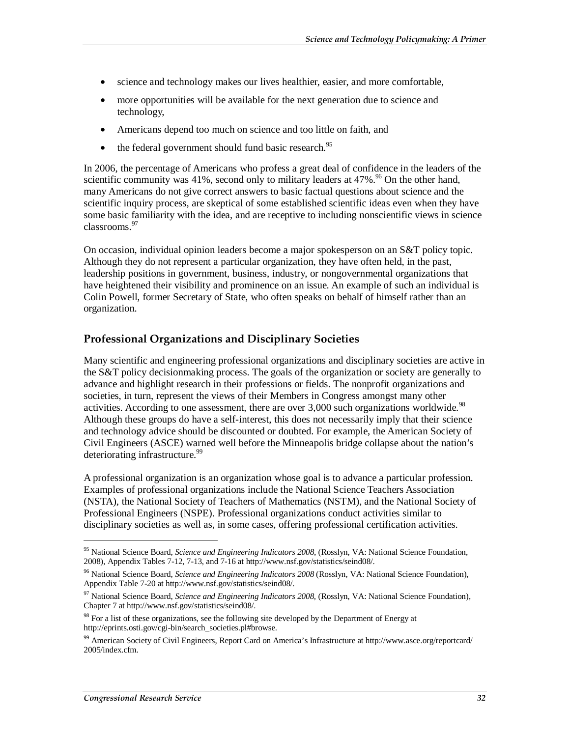- science and technology makes our lives healthier, easier, and more comfortable,
- more opportunities will be available for the next generation due to science and technology,
- Americans depend too much on science and too little on faith, and
- $\bullet$  the federal government should fund basic research.<sup>95</sup>

In 2006, the percentage of Americans who profess a great deal of confidence in the leaders of the scientific community was 41%, second only to military leaders at  $47\%$ .<sup>96</sup> On the other hand, many Americans do not give correct answers to basic factual questions about science and the scientific inquiry process, are skeptical of some established scientific ideas even when they have some basic familiarity with the idea, and are receptive to including nonscientific views in science classrooms.<sup>97</sup>

On occasion, individual opinion leaders become a major spokesperson on an S&T policy topic. Although they do not represent a particular organization, they have often held, in the past, leadership positions in government, business, industry, or nongovernmental organizations that have heightened their visibility and prominence on an issue. An example of such an individual is Colin Powell, former Secretary of State, who often speaks on behalf of himself rather than an organization.

#### **Professional Organizations and Disciplinary Societies**

Many scientific and engineering professional organizations and disciplinary societies are active in the S&T policy decisionmaking process. The goals of the organization or society are generally to advance and highlight research in their professions or fields. The nonprofit organizations and societies, in turn, represent the views of their Members in Congress amongst many other activities. According to one assessment, there are over  $3,000$  such organizations worldwide.<sup>98</sup> Although these groups do have a self-interest, this does not necessarily imply that their science and technology advice should be discounted or doubted. For example, the American Society of Civil Engineers (ASCE) warned well before the Minneapolis bridge collapse about the nation's deteriorating infrastructure.<sup>99</sup>

A professional organization is an organization whose goal is to advance a particular profession. Examples of professional organizations include the National Science Teachers Association (NSTA), the National Society of Teachers of Mathematics (NSTM), and the National Society of Professional Engineers (NSPE). Professional organizations conduct activities similar to disciplinary societies as well as, in some cases, offering professional certification activities.

<sup>95</sup> National Science Board, *Science and Engineering Indicators 2008*, (Rosslyn, VA: National Science Foundation, 2008), Appendix Tables 7-12, 7-13, and 7-16 at http://www.nsf.gov/statistics/seind08/.

<sup>96</sup> National Science Board, *Science and Engineering Indicators 2008* (Rosslyn, VA: National Science Foundation), Appendix Table 7-20 at http://www.nsf.gov/statistics/seind08/.

<sup>97</sup> National Science Board, *Science and Engineering Indicators 2008,* (Rosslyn, VA: National Science Foundation), Chapter 7 at http://www.nsf.gov/statistics/seind08/.

<sup>&</sup>lt;sup>98</sup> For a list of these organizations, see the following site developed by the Department of Energy at http://eprints.osti.gov/cgi-bin/search\_societies.pl#browse.

<sup>99</sup> American Society of Civil Engineers, Report Card on America's Infrastructure at http://www.asce.org/reportcard/ 2005/index.cfm.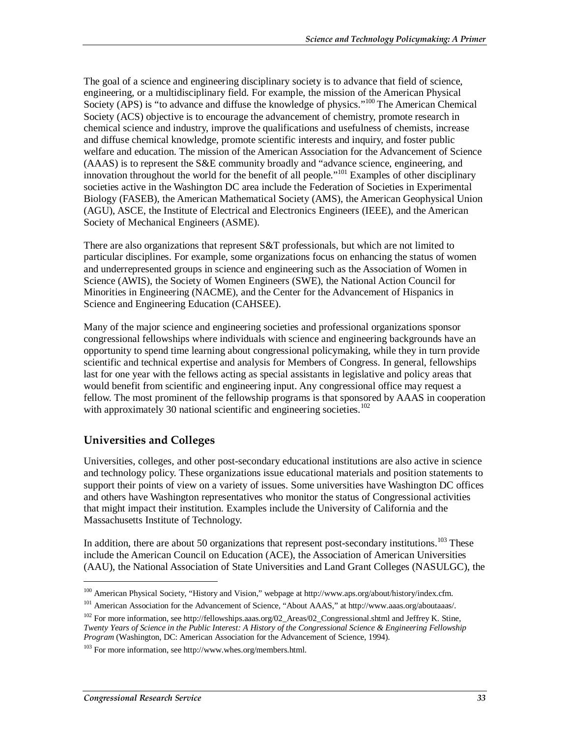The goal of a science and engineering disciplinary society is to advance that field of science, engineering, or a multidisciplinary field. For example, the mission of the American Physical Society (APS) is "to advance and diffuse the knowledge of physics."<sup>100</sup> The American Chemical Society (ACS) objective is to encourage the advancement of chemistry, promote research in chemical science and industry, improve the qualifications and usefulness of chemists, increase and diffuse chemical knowledge, promote scientific interests and inquiry, and foster public welfare and education. The mission of the American Association for the Advancement of Science (AAAS) is to represent the S&E community broadly and "advance science, engineering, and innovation throughout the world for the benefit of all people."101 Examples of other disciplinary societies active in the Washington DC area include the Federation of Societies in Experimental Biology (FASEB), the American Mathematical Society (AMS), the American Geophysical Union (AGU), ASCE, the Institute of Electrical and Electronics Engineers (IEEE), and the American Society of Mechanical Engineers (ASME).

There are also organizations that represent S&T professionals, but which are not limited to particular disciplines. For example, some organizations focus on enhancing the status of women and underrepresented groups in science and engineering such as the Association of Women in Science (AWIS), the Society of Women Engineers (SWE), the National Action Council for Minorities in Engineering (NACME), and the Center for the Advancement of Hispanics in Science and Engineering Education (CAHSEE).

Many of the major science and engineering societies and professional organizations sponsor congressional fellowships where individuals with science and engineering backgrounds have an opportunity to spend time learning about congressional policymaking, while they in turn provide scientific and technical expertise and analysis for Members of Congress. In general, fellowships last for one year with the fellows acting as special assistants in legislative and policy areas that would benefit from scientific and engineering input. Any congressional office may request a fellow. The most prominent of the fellowship programs is that sponsored by AAAS in cooperation with approximately 30 national scientific and engineering societies. $102$ 

#### **Universities and Colleges**

Universities, colleges, and other post-secondary educational institutions are also active in science and technology policy. These organizations issue educational materials and position statements to support their points of view on a variety of issues. Some universities have Washington DC offices and others have Washington representatives who monitor the status of Congressional activities that might impact their institution. Examples include the University of California and the Massachusetts Institute of Technology.

In addition, there are about 50 organizations that represent post-secondary institutions.<sup>103</sup> These include the American Council on Education (ACE), the Association of American Universities (AAU), the National Association of State Universities and Land Grant Colleges (NASULGC), the

<sup>100</sup> American Physical Society, "History and Vision," webpage at http://www.aps.org/about/history/index.cfm.

<sup>101</sup> American Association for the Advancement of Science, "About AAAS," at http://www.aaas.org/aboutaaas/.

<sup>&</sup>lt;sup>102</sup> For more information, see http://fellowships.aaas.org/02\_Areas/02\_Congressional.shtml and Jeffrey K. Stine, *Twenty Years of Science in the Public Interest: A History of the Congressional Science & Engineering Fellowship Program* (Washington, DC: American Association for the Advancement of Science, 1994).

<sup>103</sup> For more information, see http://www.whes.org/members.html.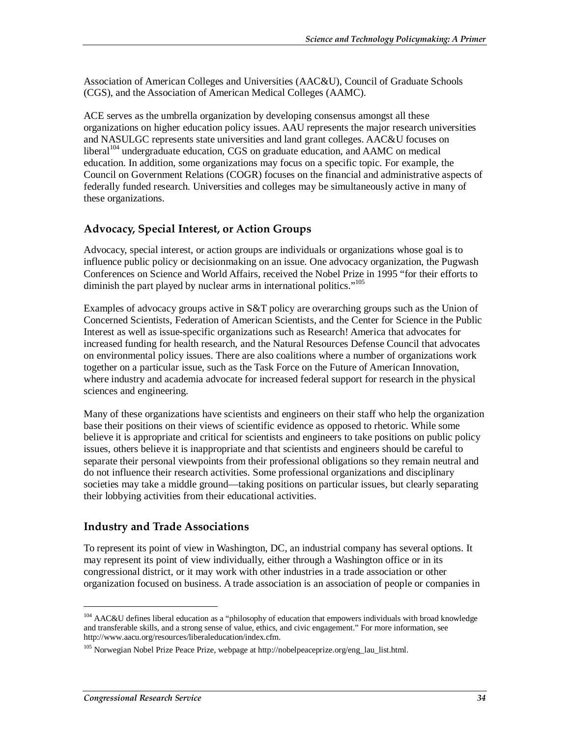Association of American Colleges and Universities (AAC&U), Council of Graduate Schools (CGS), and the Association of American Medical Colleges (AAMC).

ACE serves as the umbrella organization by developing consensus amongst all these organizations on higher education policy issues. AAU represents the major research universities and NASULGC represents state universities and land grant colleges. AAC&U focuses on liberal<sup>104</sup> undergraduate education, CGS on graduate education, and AAMC on medical education. In addition, some organizations may focus on a specific topic. For example, the Council on Government Relations (COGR) focuses on the financial and administrative aspects of federally funded research. Universities and colleges may be simultaneously active in many of these organizations.

#### **Advocacy, Special Interest, or Action Groups**

Advocacy, special interest, or action groups are individuals or organizations whose goal is to influence public policy or decisionmaking on an issue. One advocacy organization, the Pugwash Conferences on Science and World Affairs, received the Nobel Prize in 1995 "for their efforts to diminish the part played by nuclear arms in international politics."<sup>105</sup>

Examples of advocacy groups active in S&T policy are overarching groups such as the Union of Concerned Scientists, Federation of American Scientists, and the Center for Science in the Public Interest as well as issue-specific organizations such as Research! America that advocates for increased funding for health research, and the Natural Resources Defense Council that advocates on environmental policy issues. There are also coalitions where a number of organizations work together on a particular issue, such as the Task Force on the Future of American Innovation, where industry and academia advocate for increased federal support for research in the physical sciences and engineering.

Many of these organizations have scientists and engineers on their staff who help the organization base their positions on their views of scientific evidence as opposed to rhetoric. While some believe it is appropriate and critical for scientists and engineers to take positions on public policy issues, others believe it is inappropriate and that scientists and engineers should be careful to separate their personal viewpoints from their professional obligations so they remain neutral and do not influence their research activities. Some professional organizations and disciplinary societies may take a middle ground—taking positions on particular issues, but clearly separating their lobbying activities from their educational activities.

#### **Industry and Trade Associations**

To represent its point of view in Washington, DC, an industrial company has several options. It may represent its point of view individually, either through a Washington office or in its congressional district, or it may work with other industries in a trade association or other organization focused on business. A trade association is an association of people or companies in

<sup>&</sup>lt;sup>104</sup> AAC&U defines liberal education as a "philosophy of education that empowers individuals with broad knowledge and transferable skills, and a strong sense of value, ethics, and civic engagement." For more information, see http://www.aacu.org/resources/liberaleducation/index.cfm.

<sup>105</sup> Norwegian Nobel Prize Peace Prize, webpage at http://nobelpeaceprize.org/eng\_lau\_list.html.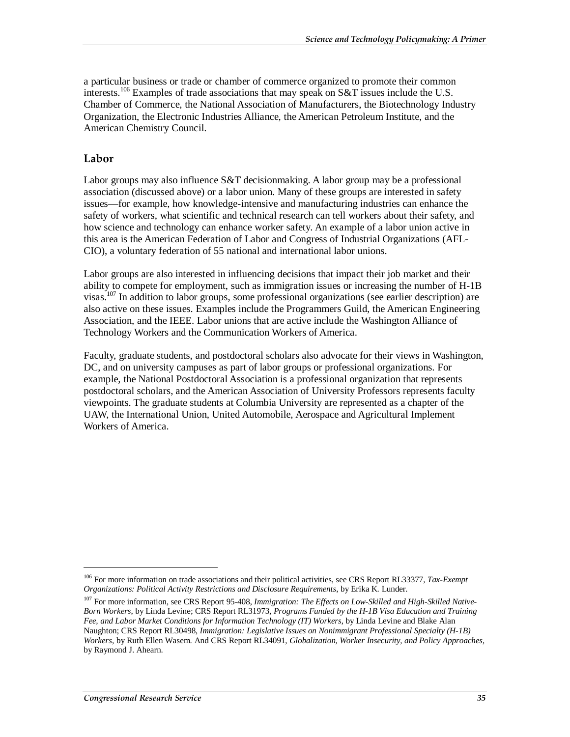a particular business or trade or chamber of commerce organized to promote their common interests.<sup>106</sup> Examples of trade associations that may speak on S&T issues include the U.S. Chamber of Commerce, the National Association of Manufacturers, the Biotechnology Industry Organization, the Electronic Industries Alliance, the American Petroleum Institute, and the American Chemistry Council.

#### **Labor**

Labor groups may also influence S&T decisionmaking. A labor group may be a professional association (discussed above) or a labor union. Many of these groups are interested in safety issues—for example, how knowledge-intensive and manufacturing industries can enhance the safety of workers, what scientific and technical research can tell workers about their safety, and how science and technology can enhance worker safety. An example of a labor union active in this area is the American Federation of Labor and Congress of Industrial Organizations (AFL-CIO), a voluntary federation of 55 national and international labor unions.

Labor groups are also interested in influencing decisions that impact their job market and their ability to compete for employment, such as immigration issues or increasing the number of H-1B visas.<sup>107</sup> In addition to labor groups, some professional organizations (see earlier description) are also active on these issues. Examples include the Programmers Guild, the American Engineering Association, and the IEEE. Labor unions that are active include the Washington Alliance of Technology Workers and the Communication Workers of America.

Faculty, graduate students, and postdoctoral scholars also advocate for their views in Washington, DC, and on university campuses as part of labor groups or professional organizations. For example, the National Postdoctoral Association is a professional organization that represents postdoctoral scholars, and the American Association of University Professors represents faculty viewpoints. The graduate students at Columbia University are represented as a chapter of the UAW, the International Union, United Automobile, Aerospace and Agricultural Implement Workers of America.

<sup>106</sup> For more information on trade associations and their political activities, see CRS Report RL33377, *Tax-Exempt Organizations: Political Activity Restrictions and Disclosure Requirements*, by Erika K. Lunder.

<sup>107</sup> For more information, see CRS Report 95-408, *Immigration: The Effects on Low-Skilled and High-Skilled Native-Born Workers*, by Linda Levine; CRS Report RL31973, *Programs Funded by the H-1B Visa Education and Training Fee, and Labor Market Conditions for Information Technology (IT) Workers*, by Linda Levine and Blake Alan Naughton; CRS Report RL30498, *Immigration: Legislative Issues on Nonimmigrant Professional Specialty (H-1B) Workers*, by Ruth Ellen Wasem. And CRS Report RL34091, *Globalization, Worker Insecurity, and Policy Approaches*, by Raymond J. Ahearn.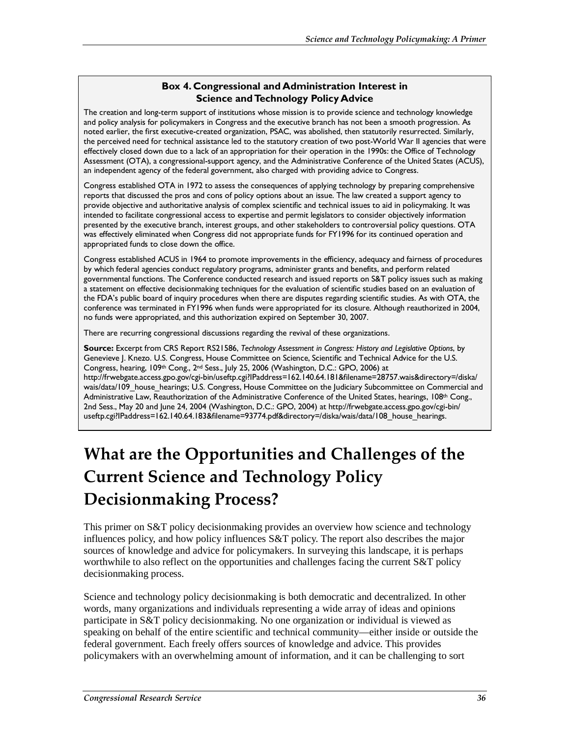#### **Box 4. Congressional and Administration Interest in Science and Technology Policy Advice**

The creation and long-term support of institutions whose mission is to provide science and technology knowledge and policy analysis for policymakers in Congress and the executive branch has not been a smooth progression. As noted earlier, the first executive-created organization, PSAC, was abolished, then statutorily resurrected. Similarly, the perceived need for technical assistance led to the statutory creation of two post-World War II agencies that were effectively closed down due to a lack of an appropriation for their operation in the 1990s: the Office of Technology Assessment (OTA), a congressional-support agency, and the Administrative Conference of the United States (ACUS), an independent agency of the federal government, also charged with providing advice to Congress.

Congress established OTA in 1972 to assess the consequences of applying technology by preparing comprehensive reports that discussed the pros and cons of policy options about an issue. The law created a support agency to provide objective and authoritative analysis of complex scientific and technical issues to aid in policymaking. It was intended to facilitate congressional access to expertise and permit legislators to consider objectively information presented by the executive branch, interest groups, and other stakeholders to controversial policy questions. OTA was effectively eliminated when Congress did not appropriate funds for FY1996 for its continued operation and appropriated funds to close down the office.

Congress established ACUS in 1964 to promote improvements in the efficiency, adequacy and fairness of procedures by which federal agencies conduct regulatory programs, administer grants and benefits, and perform related governmental functions. The Conference conducted research and issued reports on S&T policy issues such as making a statement on effective decisionmaking techniques for the evaluation of scientific studies based on an evaluation of the FDA's public board of inquiry procedures when there are disputes regarding scientific studies. As with OTA, the conference was terminated in FY1996 when funds were appropriated for its closure. Although reauthorized in 2004, no funds were appropriated, and this authorization expired on September 30, 2007.

There are recurring congressional discussions regarding the revival of these organizations.

**Source:** Excerpt from CRS Report RS21586, *Technology Assessment in Congress: History and Legislative Options*, by Genevieve J. Knezo. U.S. Congress, House Committee on Science, Scientific and Technical Advice for the U.S. Congress, hearing, 109th Cong., 2nd Sess., July 25, 2006 (Washington, D.C.: GPO, 2006) at http://frwebgate.access.gpo.gov/cgi-bin/useftp.cgi?IPaddress=162.140.64.181&filename=28757.wais&directory=/diska/ wais/data/109 house hearings; U.S. Congress, House Committee on the Judiciary Subcommittee on Commercial and Administrative Law, Reauthorization of the Administrative Conference of the United States, hearings, 108th Cong., 2nd Sess., May 20 and June 24, 2004 (Washington, D.C.: GPO, 2004) at http://frwebgate.access.gpo.gov/cgi-bin/ useftp.cgi?IPaddress=162.140.64.183&filename=93774.pdf&directory=/diska/wais/data/108\_house\_hearings.

# **What are the Opportunities and Challenges of the Current Science and Technology Policy Decisionmaking Process?**

This primer on S&T policy decisionmaking provides an overview how science and technology influences policy, and how policy influences S&T policy. The report also describes the major sources of knowledge and advice for policymakers. In surveying this landscape, it is perhaps worthwhile to also reflect on the opportunities and challenges facing the current S&T policy decisionmaking process.

Science and technology policy decisionmaking is both democratic and decentralized. In other words, many organizations and individuals representing a wide array of ideas and opinions participate in S&T policy decisionmaking. No one organization or individual is viewed as speaking on behalf of the entire scientific and technical community—either inside or outside the federal government. Each freely offers sources of knowledge and advice. This provides policymakers with an overwhelming amount of information, and it can be challenging to sort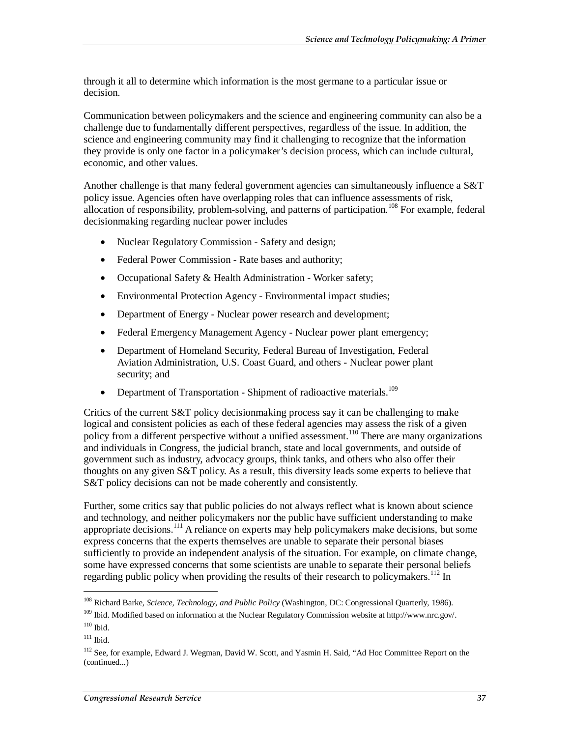through it all to determine which information is the most germane to a particular issue or decision.

Communication between policymakers and the science and engineering community can also be a challenge due to fundamentally different perspectives, regardless of the issue. In addition, the science and engineering community may find it challenging to recognize that the information they provide is only one factor in a policymaker's decision process, which can include cultural, economic, and other values.

Another challenge is that many federal government agencies can simultaneously influence a S&T policy issue. Agencies often have overlapping roles that can influence assessments of risk, allocation of responsibility, problem-solving, and patterns of participation.<sup>108</sup> For example, federal decisionmaking regarding nuclear power includes

- Nuclear Regulatory Commission Safety and design;
- Federal Power Commission Rate bases and authority;
- Occupational Safety & Health Administration Worker safety;
- Environmental Protection Agency Environmental impact studies;
- Department of Energy Nuclear power research and development;
- Federal Emergency Management Agency Nuclear power plant emergency;
- Department of Homeland Security, Federal Bureau of Investigation, Federal Aviation Administration, U.S. Coast Guard, and others - Nuclear power plant security; and
- Department of Transportation Shipment of radioactive materials.<sup>109</sup>

Critics of the current S&T policy decisionmaking process say it can be challenging to make logical and consistent policies as each of these federal agencies may assess the risk of a given policy from a different perspective without a unified assessment.<sup>110</sup> There are many organizations and individuals in Congress, the judicial branch, state and local governments, and outside of government such as industry, advocacy groups, think tanks, and others who also offer their thoughts on any given S&T policy. As a result, this diversity leads some experts to believe that S&T policy decisions can not be made coherently and consistently.

Further, some critics say that public policies do not always reflect what is known about science and technology, and neither policymakers nor the public have sufficient understanding to make appropriate decisions.<sup>111</sup> A reliance on experts may help policymakers make decisions, but some express concerns that the experts themselves are unable to separate their personal biases sufficiently to provide an independent analysis of the situation. For example, on climate change, some have expressed concerns that some scientists are unable to separate their personal beliefs regarding public policy when providing the results of their research to policymakers.<sup>112</sup> In

<sup>108</sup> Richard Barke, *Science, Technology, and Public Policy* (Washington, DC: Congressional Quarterly, 1986).

<sup>109</sup> Ibid. Modified based on information at the Nuclear Regulatory Commission website at http://www.nrc.gov/.

 $110$  Ibid.

 $111$  Ibid.

<sup>&</sup>lt;sup>112</sup> See, for example, Edward J. Wegman, David W. Scott, and Yasmin H. Said, "Ad Hoc Committee Report on the (continued...)